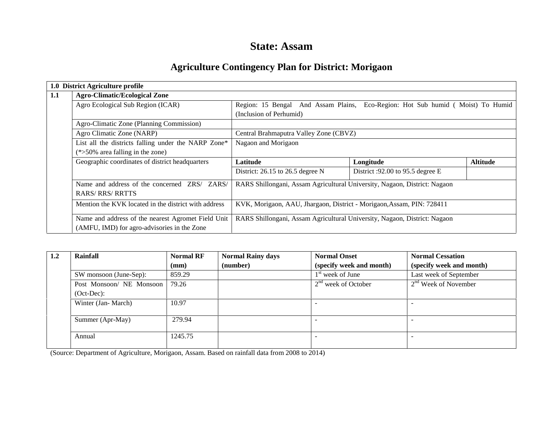## **State: Assam**

# **Agriculture Contingency Plan for District: Morigaon**

|     | 1.0 District Agriculture profile                     |                                                                                 |                                    |                 |  |  |  |
|-----|------------------------------------------------------|---------------------------------------------------------------------------------|------------------------------------|-----------------|--|--|--|
| 1.1 | <b>Agro-Climatic/Ecological Zone</b>                 |                                                                                 |                                    |                 |  |  |  |
|     | Agro Ecological Sub Region (ICAR)                    | Region: 15 Bengal And Assam Plains, Eco-Region: Hot Sub humid ( Moist) To Humid |                                    |                 |  |  |  |
|     |                                                      | (Inclusion of Perhumid)                                                         |                                    |                 |  |  |  |
|     | Agro-Climatic Zone (Planning Commission)             |                                                                                 |                                    |                 |  |  |  |
|     | Agro Climatic Zone (NARP)                            | Central Brahmaputra Valley Zone (CBVZ)                                          |                                    |                 |  |  |  |
|     | List all the districts falling under the NARP Zone*  | Nagaon and Morigaon                                                             |                                    |                 |  |  |  |
|     | $(*>50\%$ area falling in the zone)                  |                                                                                 |                                    |                 |  |  |  |
|     | Geographic coordinates of district headquarters      | Latitude                                                                        | Longitude                          | <b>Altitude</b> |  |  |  |
|     |                                                      | District: 26.15 to 26.5 degree N                                                | District :92.00 to 95.5 degree $E$ |                 |  |  |  |
|     | Name and address of the concerned ZRS/ ZARS/         | RARS Shillongani, Assam Agricultural University, Nagaon, District: Nagaon       |                                    |                 |  |  |  |
|     | <b>RARS/RRS/RRTTS</b>                                |                                                                                 |                                    |                 |  |  |  |
|     | Mention the KVK located in the district with address | KVK, Morigaon, AAU, Jhargaon, District - Morigaon, Assam, PIN: 728411           |                                    |                 |  |  |  |
|     | Name and address of the nearest Agromet Field Unit   | RARS Shillongani, Assam Agricultural University, Nagaon, District: Nagaon       |                                    |                 |  |  |  |
|     | (AMFU, IMD) for agro-advisories in the Zone          |                                                                                 |                                    |                 |  |  |  |

| 1.2 | <b>Rainfall</b>          | <b>Normal RF</b> | <b>Normal Rainy days</b> | <b>Normal Onset</b>      | <b>Normal Cessation</b>  |
|-----|--------------------------|------------------|--------------------------|--------------------------|--------------------------|
|     |                          | (mm)             | (number)                 | (specify week and month) | (specify week and month) |
|     | SW monsoon (June-Sep):   | 859.29           |                          | $1st$ week of June       | Last week of September   |
|     | Post Monsoon/ NE Monsoon | 79.26            |                          | $2nd$ week of October    | $2nd$ Week of November   |
|     | $(Oct-Dec):$             |                  |                          |                          |                          |
|     | Winter (Jan-March)       | 10.97            |                          |                          |                          |
|     | Summer (Apr-May)         | 279.94           |                          |                          |                          |
|     | Annual                   | 1245.75          |                          |                          |                          |

(Source: Department of Agriculture, Morigaon, Assam. Based on rainfall data from 2008 to 2014)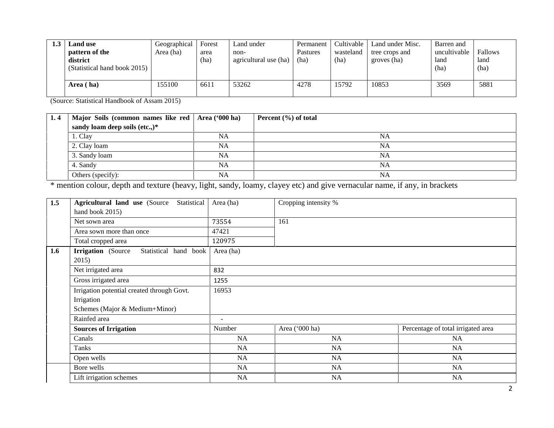| <b>Land use</b><br>pattern of the<br>district<br>(Statistical hand book 2015) | Geographical<br>Area (ha) | Forest<br>area<br>(ha) | Land under<br>non-<br>agricultural use (ha) | Permanent<br>Pastures<br>(ha | Cultivable<br>wasteland<br>(ha) | Land under Misc.<br>tree crops and<br>groves (ha) | Barren and<br>uncultivable<br>land<br>(ha) | Fallows<br>land<br>(ha) |
|-------------------------------------------------------------------------------|---------------------------|------------------------|---------------------------------------------|------------------------------|---------------------------------|---------------------------------------------------|--------------------------------------------|-------------------------|
| Area (ha)                                                                     | 155100                    | 6611                   | 53262                                       | 4278                         | 15792                           | 10853                                             | 3569                                       | 5881                    |

(Source: Statistical Handbook of Assam 2015)

| 1.4 | Major Soils (common names like red   Area ('000 ha) |           | Percent $(\% )$ of total |
|-----|-----------------------------------------------------|-----------|--------------------------|
|     | sandy loam deep soils (etc.,)*                      |           |                          |
|     | 1. Clay                                             | <b>NA</b> | <b>NA</b>                |
|     | 2. Clay loam                                        | <b>NA</b> | NA                       |
|     | 3. Sandy loam                                       | <b>NA</b> | <b>NA</b>                |
|     | 4. Sandy                                            | <b>NA</b> | <b>NA</b>                |
|     | Others (specify):                                   | <b>NA</b> | <b>NA</b>                |

\* mention colour, depth and texture (heavy, light, sandy, loamy, clayey etc) and give vernacular name, if any, in brackets

| 1.5 | Statistical<br><b>Agricultural land use (Source)</b> | Area (ha) | Cropping intensity % |                                    |  |  |  |
|-----|------------------------------------------------------|-----------|----------------------|------------------------------------|--|--|--|
|     | hand book 2015)                                      |           |                      |                                    |  |  |  |
|     | Net sown area                                        | 73554     | 161                  |                                    |  |  |  |
|     | Area sown more than once                             | 47421     |                      |                                    |  |  |  |
|     | Total cropped area                                   | 120975    |                      |                                    |  |  |  |
| 1.6 | <b>Irrigation</b> (Source<br>Statistical hand book   | Area (ha) |                      |                                    |  |  |  |
|     | 2015)                                                |           |                      |                                    |  |  |  |
|     | Net irrigated area                                   | 832       |                      |                                    |  |  |  |
|     | Gross irrigated area                                 | 1255      |                      |                                    |  |  |  |
|     | Irrigation potential created through Govt.           | 16953     |                      |                                    |  |  |  |
|     | Irrigation                                           |           |                      |                                    |  |  |  |
|     | Schemes (Major & Medium+Minor)                       |           |                      |                                    |  |  |  |
|     | Rainfed area                                         |           |                      |                                    |  |  |  |
|     | <b>Sources of Irrigation</b>                         | Number    | Area ('000 ha)       | Percentage of total irrigated area |  |  |  |
|     | Canals                                               | <b>NA</b> | NA                   | <b>NA</b>                          |  |  |  |
|     | Tanks                                                | <b>NA</b> | <b>NA</b>            | <b>NA</b>                          |  |  |  |
|     | Open wells                                           | NA        | NA                   | NA                                 |  |  |  |
|     | Bore wells                                           | NA        | <b>NA</b>            | <b>NA</b>                          |  |  |  |
|     | Lift irrigation schemes                              | NA        | NA                   | <b>NA</b>                          |  |  |  |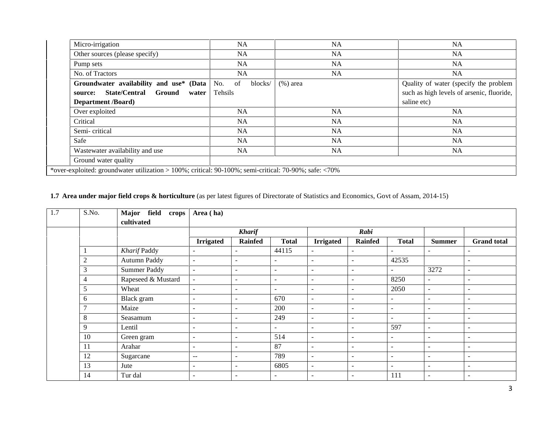| <b>NA</b>                                                                     | <b>NA</b> | <b>NA</b>                                                                                         |
|-------------------------------------------------------------------------------|-----------|---------------------------------------------------------------------------------------------------|
| <b>NA</b>                                                                     | <b>NA</b> | <b>NA</b>                                                                                         |
| <b>NA</b>                                                                     | <b>NA</b> | <b>NA</b>                                                                                         |
| <b>NA</b>                                                                     | <b>NA</b> | <b>NA</b>                                                                                         |
| <b>Groundwater availability and use* (Data   No.</b> of<br>blocks/<br>Tehsils |           | Quality of water (specify the problem<br>such as high levels of arsenic, fluoride,<br>saline etc) |
| <b>NA</b>                                                                     | <b>NA</b> | <b>NA</b>                                                                                         |
| <b>NA</b>                                                                     | <b>NA</b> | <b>NA</b>                                                                                         |
| <b>NA</b>                                                                     | <b>NA</b> | <b>NA</b>                                                                                         |
| <b>NA</b>                                                                     | <b>NA</b> | <b>NA</b>                                                                                         |
| NA.                                                                           | <b>NA</b> | <b>NA</b>                                                                                         |
|                                                                               |           |                                                                                                   |
|                                                                               |           | $(\%)$ area                                                                                       |

## **1.7 Area under major field crops & horticulture** (as per latest figures of Directorate of Statistics and Economics, Govt of Assam, 2014-15)

| 1.7 | S.No.          | Major field<br>crops<br>cultivated | Area (ha)                |                          |                          |                          |                          |                          |                          |                          |
|-----|----------------|------------------------------------|--------------------------|--------------------------|--------------------------|--------------------------|--------------------------|--------------------------|--------------------------|--------------------------|
|     |                |                                    |                          | <b>Kharif</b>            |                          |                          | Rabi                     |                          |                          |                          |
|     |                |                                    | <b>Irrigated</b>         | <b>Rainfed</b>           | <b>Total</b>             | <b>Irrigated</b>         | <b>Rainfed</b>           | <b>Total</b>             | <b>Summer</b>            | <b>Grand</b> total       |
|     |                | Kharif Paddy                       | $\overline{a}$           |                          | 44115                    | $\sim$                   | $\blacksquare$           | $\overline{\phantom{a}}$ | $\blacksquare$           | $\overline{\phantom{a}}$ |
|     | $\overline{c}$ | Autumn Paddy                       | $\sim$                   | $\sim$                   | $\overline{\phantom{a}}$ | $\sim$                   | $\sim$                   | 42535                    |                          | $\overline{\phantom{a}}$ |
|     | 3              | Summer Paddy                       | $\sim$                   | $\sim$                   | $\sim$                   | $\sim$                   | $\sim$                   | $\sim$                   | 3272                     | $\overline{\phantom{0}}$ |
|     | $\overline{4}$ | Rapeseed & Mustard                 | $\sim$                   | $\sim$                   | $\sim$                   | $\sim$                   | $\sim$                   | 8250                     | $\sim$                   | $\blacksquare$           |
|     | 5              | Wheat                              | $\overline{\phantom{a}}$ | $\overline{\phantom{a}}$ | $\overline{\phantom{a}}$ | $\overline{\phantom{a}}$ | $\sim$                   | 2050                     | $\sim$                   | $\overline{\phantom{a}}$ |
|     | 6              | Black gram                         | $\overline{\phantom{a}}$ | $\sim$                   | 670                      | $\sim$                   | $\sim$                   | $\sim$                   | $\sim$                   | $\overline{\phantom{a}}$ |
|     | $\mathcal{I}$  | Maize                              | $\overline{a}$           | $\sim$                   | 200                      | $\overline{\phantom{a}}$ | $\overline{\phantom{a}}$ | $\sim$                   | $\overline{\phantom{a}}$ | $\overline{\phantom{a}}$ |
|     | 8              | Seasamum                           | $\sim$                   | $\sim$                   | 249                      | $\overline{\phantom{a}}$ | $\overline{\phantom{a}}$ | $\sim$                   | $\overline{\phantom{a}}$ | $\overline{\phantom{a}}$ |
|     | 9              | Lentil                             | $\sim$                   | $\sim$                   | $\sim$                   | $\overline{\phantom{a}}$ | $\sim$                   | 597                      | $\overline{\phantom{a}}$ | $\overline{\phantom{a}}$ |
|     | 10             | Green gram                         | $\sim$                   | $\overline{\phantom{a}}$ | 514                      | $\overline{\phantom{a}}$ | $\sim$                   | $\sim$                   | $\overline{\phantom{a}}$ | $\overline{\phantom{a}}$ |
|     | 11             | Arahar                             | $\overline{\phantom{a}}$ | $\sim$                   | 87                       | $\overline{\phantom{a}}$ | $\sim$                   | $\sim$                   | $\overline{\phantom{a}}$ | $\overline{\phantom{0}}$ |
|     | 12             | Sugarcane                          | $- -$                    | $\sim$                   | 789                      | $\sim$                   | $\sim$                   | $\sim$                   | $\overline{\phantom{a}}$ | $\overline{\phantom{0}}$ |
|     | 13             | Jute                               | $\sim$                   | $\sim$                   | 6805                     | $\sim$                   | $\sim$                   | $\sim$                   | $\overline{\phantom{a}}$ | $\overline{\phantom{a}}$ |
|     | 14             | Tur dal                            | $\overline{\phantom{a}}$ | $\sim$                   | $\overline{\phantom{a}}$ | $\overline{\phantom{a}}$ | $\overline{\phantom{a}}$ | 111                      | $\overline{\phantom{a}}$ | $\overline{\phantom{a}}$ |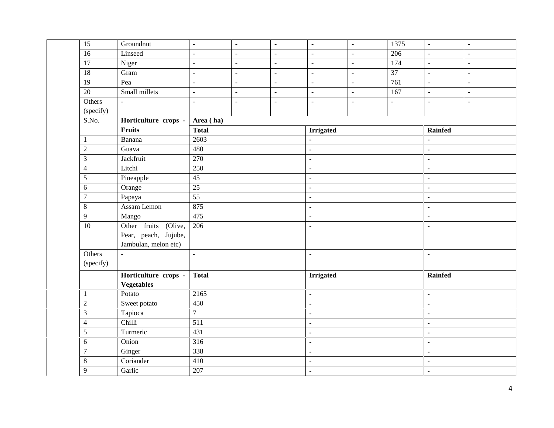| $\overline{15}$     | Groundnut            | $\sim$                   | $\blacksquare$           | $\blacksquare$           | $\blacksquare$   | $\blacksquare$ | 1375             | $\blacksquare$ | $\blacksquare$           |
|---------------------|----------------------|--------------------------|--------------------------|--------------------------|------------------|----------------|------------------|----------------|--------------------------|
| $\overline{16}$     | Linseed              | $\sim$                   | $\sim$                   | $\sim$                   | $\sim$           | $\sim$         | 206              | $\mathbb{L}$   | $\overline{\phantom{a}}$ |
| $\overline{17}$     | Niger                | $\sim$                   | $\blacksquare$           | $\sim$                   | $\blacksquare$   | $\overline{a}$ | 174              | $\blacksquare$ | $\overline{a}$           |
| $\overline{18}$     | Gram                 | $\overline{\phantom{a}}$ | $\overline{\phantom{a}}$ | $\overline{a}$           | $\omega$         | $\blacksquare$ | $\overline{37}$  | $\omega$       | $\overline{\phantom{a}}$ |
| $\overline{19}$     | Pea                  | $\sim$                   | $\blacksquare$           | $\sim$                   | $\omega$         | $\overline{a}$ | $\overline{761}$ | $\blacksquare$ | $\blacksquare$           |
| 20                  | Small millets        | $\bar{\phantom{a}}$      | $\overline{\phantom{a}}$ | $\overline{\phantom{a}}$ | $\sim$           | $\blacksquare$ | 167              | $\blacksquare$ | $\overline{\phantom{a}}$ |
| Others<br>(specify) | $\blacksquare$       | $\sim$                   | $\blacksquare$           | $\sim$                   | $\blacksquare$   | $\blacksquare$ | $\overline{a}$   | $\blacksquare$ | $\sim$                   |
| S.No.               | Horticulture crops - | Area (ha)                |                          |                          |                  |                |                  |                |                          |
|                     | Fruits               | <b>Total</b>             |                          |                          | <b>Irrigated</b> |                |                  | <b>Rainfed</b> |                          |
| $\mathbf{1}$        | Banana               | 2603                     |                          |                          | $\blacksquare$   |                |                  | $\blacksquare$ |                          |
| $\sqrt{2}$          | Guava                | 480                      |                          |                          | $\blacksquare$   |                |                  | $\blacksquare$ |                          |
| $\mathfrak{Z}$      | Jackfruit            | 270                      |                          |                          | $\blacksquare$   |                |                  | $\blacksquare$ |                          |
| $\overline{4}$      | Litchi               | 250                      |                          |                          | $\blacksquare$   |                |                  | $\blacksquare$ |                          |
| $\sqrt{5}$          | Pineapple            | 45                       |                          |                          | $\blacksquare$   |                |                  | $\blacksquare$ |                          |
| $\sqrt{6}$          | Orange               | $\overline{25}$          |                          |                          | $\blacksquare$   |                |                  | $\blacksquare$ |                          |
| $\boldsymbol{7}$    | Papaya               | $\overline{55}$          |                          |                          | $\blacksquare$   |                |                  | $\blacksquare$ |                          |
| $\,8\,$             | Assam Lemon          | 875                      |                          |                          | $\blacksquare$   |                |                  | $\blacksquare$ |                          |
| 9                   | Mango                | 475                      |                          |                          | $\blacksquare$   |                |                  | $\blacksquare$ |                          |
| $\overline{10}$     | Other fruits (Olive, | 206                      |                          |                          | $\blacksquare$   |                |                  | $\blacksquare$ |                          |
|                     | Pear, peach, Jujube, |                          |                          |                          |                  |                |                  |                |                          |
|                     | Jambulan, melon etc) |                          |                          |                          |                  |                |                  |                |                          |
| Others              | ä,                   | $\blacksquare$           |                          |                          | $\blacksquare$   |                |                  | $\blacksquare$ |                          |
| (specify)           |                      |                          |                          |                          |                  |                |                  |                |                          |
|                     | Horticulture crops - | <b>Total</b>             |                          |                          | <b>Irrigated</b> |                |                  | Rainfed        |                          |
|                     | <b>Vegetables</b>    |                          |                          |                          |                  |                |                  |                |                          |
| $\mathbf{1}$        | Potato               | 2165                     |                          |                          | ä,               |                |                  | $\blacksquare$ |                          |
| $\sqrt{2}$          | Sweet potato         | 450                      |                          |                          | $\blacksquare$   |                |                  | $\blacksquare$ |                          |
| $\mathfrak{Z}$      | Tapioca              | $\overline{7}$           |                          |                          | $\blacksquare$   |                |                  | $\blacksquare$ |                          |
| $\overline{4}$      | Chilli               | $\overline{511}$         |                          |                          | $\blacksquare$   |                |                  | $\blacksquare$ |                          |
| $\mathfrak{S}$      | Turmeric             | 431                      |                          |                          | $\blacksquare$   |                |                  | $\blacksquare$ |                          |
| 6                   | Onion                | 316                      |                          |                          | $\blacksquare$   |                |                  | $\blacksquare$ |                          |
| $\boldsymbol{7}$    | Ginger               | 338                      |                          |                          | ä,               |                |                  | $\blacksquare$ |                          |
| $\,8\,$             | Coriander            | 410                      |                          |                          | $\blacksquare$   |                |                  | $\blacksquare$ |                          |
| 9                   | Garlic               | 207                      |                          |                          | $\blacksquare$   |                |                  | $\blacksquare$ |                          |
|                     |                      |                          |                          |                          |                  |                |                  |                |                          |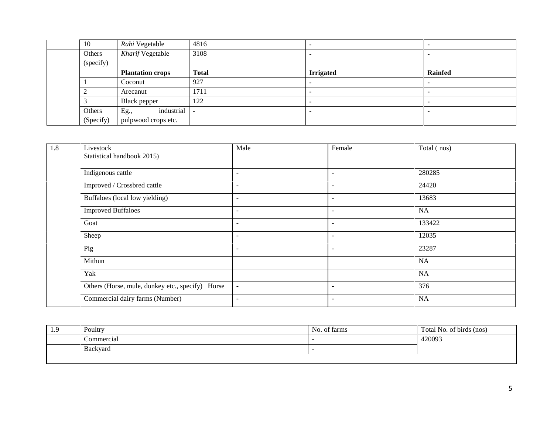| 10        | Rabi Vegetable          | 4816         |                          |                          |
|-----------|-------------------------|--------------|--------------------------|--------------------------|
| Others    | Kharif Vegetable        | 3108         |                          |                          |
| (specify) |                         |              |                          |                          |
|           | <b>Plantation crops</b> | <b>Total</b> | <b>Irrigated</b>         | <b>Rainfed</b>           |
|           | Coconut                 | 927          | $\overline{\phantom{a}}$ | $\overline{\phantom{a}}$ |
|           | Arecanut                | 1711         | ٠                        | $\overline{\phantom{a}}$ |
|           | Black pepper            | 122          |                          | . .                      |
| Others    | industrial<br>Eg.,      | $\sim$       |                          |                          |
| (Specify) | pulpwood crops etc.     |              |                          |                          |

| 1.8 | Livestock<br>Statistical handbook 2015)          | Male                     | Female                   | Total (nos) |
|-----|--------------------------------------------------|--------------------------|--------------------------|-------------|
|     | Indigenous cattle                                | $\overline{\phantom{a}}$ | $\blacksquare$           | 280285      |
|     | Improved / Crossbred cattle                      | $\overline{\phantom{a}}$ | $\overline{\phantom{a}}$ | 24420       |
|     | Buffaloes (local low yielding)                   | $\overline{\phantom{a}}$ | $\overline{\phantom{a}}$ | 13683       |
|     | <b>Improved Buffaloes</b>                        | $\overline{\phantom{a}}$ | $\overline{\phantom{a}}$ | <b>NA</b>   |
|     | Goat                                             | $\overline{\phantom{a}}$ | $\overline{\phantom{a}}$ | 133422      |
|     | Sheep                                            | $\overline{\phantom{a}}$ | $\overline{\phantom{a}}$ | 12035       |
|     | Pig                                              | $\overline{\phantom{a}}$ | $\overline{\phantom{a}}$ | 23287       |
|     | Mithun                                           |                          |                          | <b>NA</b>   |
|     | Yak                                              |                          |                          | <b>NA</b>   |
|     | Others (Horse, mule, donkey etc., specify) Horse | $\overline{\phantom{a}}$ | $\overline{\phantom{a}}$ | 376         |
|     | Commercial dairy farms (Number)                  | $\overline{\phantom{a}}$ | $\overline{\phantom{a}}$ | NA          |

| 1.9 | Poultry    | $\sim$ $\sim$<br>No. of farms | Total No. of birds (nos) |
|-----|------------|-------------------------------|--------------------------|
|     | Commercial |                               | 420093                   |
|     | Backyard   |                               |                          |
|     |            |                               |                          |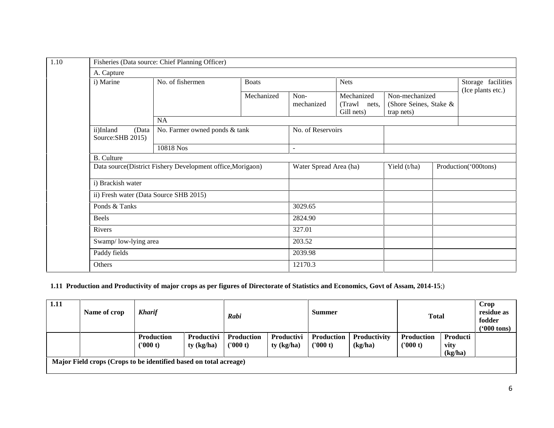| A. Capture        |                                                            |                                        |              |                          |                                          |                                                        |                                         |
|-------------------|------------------------------------------------------------|----------------------------------------|--------------|--------------------------|------------------------------------------|--------------------------------------------------------|-----------------------------------------|
| i) Marine         |                                                            | No. of fishermen                       | <b>Boats</b> |                          | <b>Nets</b>                              |                                                        | Storage facilities<br>(Ice plants etc.) |
|                   |                                                            |                                        | Mechanized   | Non-<br>mechanized       | Mechanized<br>(Trawl nets,<br>Gill nets) | Non-mechanized<br>(Shore Seines, Stake &<br>trap nets) |                                         |
|                   | <b>NA</b>                                                  |                                        |              |                          |                                          |                                                        |                                         |
| ii)Inland         | (Data<br>Source: SHB 2015)                                 | No. Farmer owned ponds & tank          |              | No. of Reservoirs        |                                          |                                                        |                                         |
|                   |                                                            | 10818 Nos                              |              | $\overline{\phantom{a}}$ |                                          |                                                        |                                         |
| <b>B.</b> Culture |                                                            |                                        |              |                          |                                          |                                                        |                                         |
|                   | Data source(District Fishery Development office, Morigaon) |                                        |              | Water Spread Area (ha)   |                                          | Yield (t/ha)                                           | Production('000tons)                    |
|                   | i) Brackish water                                          |                                        |              |                          |                                          |                                                        |                                         |
|                   |                                                            | ii) Fresh water (Data Source SHB 2015) |              |                          |                                          |                                                        |                                         |
|                   | Ponds & Tanks                                              |                                        |              | 3029.65                  |                                          |                                                        |                                         |
| Beels             |                                                            |                                        |              | 2824.90                  |                                          |                                                        |                                         |
| Rivers            |                                                            |                                        |              | 327.01                   |                                          |                                                        |                                         |
|                   |                                                            | Swamp/low-lying area                   |              | 203.52                   |                                          |                                                        |                                         |
|                   | Paddy fields                                               |                                        |              | 2039.98                  |                                          |                                                        |                                         |
| Others            |                                                            |                                        |              | 12170.3                  |                                          |                                                        |                                         |
|                   |                                                            |                                        |              |                          |                                          |                                                        |                                         |

## **1.11 Production and Productivity of major crops as per figures of Directorate of Statistics and Economics, Govt of Assam, 2014-15**;)

| 1.11 | Name of crop                                                      | <b>Kharif</b>                 | <b>Summer</b><br>Rabi           |                               | <b>Total</b>                      |                        | Crop<br>residue as<br>fodder<br>$(900 \text{ tons})$ |                               |                             |  |
|------|-------------------------------------------------------------------|-------------------------------|---------------------------------|-------------------------------|-----------------------------------|------------------------|------------------------------------------------------|-------------------------------|-----------------------------|--|
|      |                                                                   | <b>Production</b><br>('000 t) | <b>Productivi</b><br>ty (kg/ha) | <b>Production</b><br>('000 t) | <b>Productivi</b><br>$ty$ (kg/ha) | Production<br>('000 t) | <b>Productivity</b><br>(kg/ha)                       | <b>Production</b><br>('000 t) | Producti<br>vity<br>(kg/ha) |  |
|      | Major Field crops (Crops to be identified based on total acreage) |                               |                                 |                               |                                   |                        |                                                      |                               |                             |  |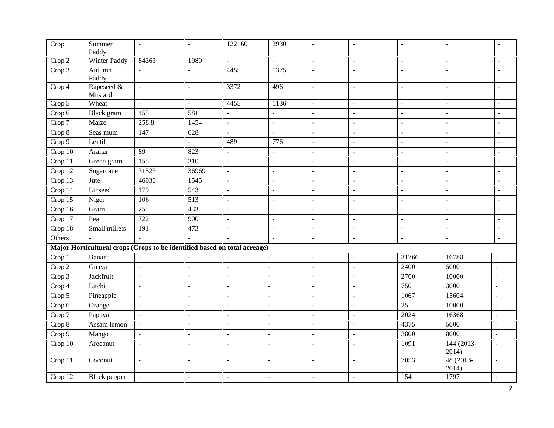| $\overline{C}$ rop 1 | Summer<br>Paddy                                                           | $\blacksquare$            | $\sim$                   | 122160                   | 2930                     | $\sim$              | $\overline{\phantom{a}}$ | ÷               | $\sim$              | $\sim$                      |
|----------------------|---------------------------------------------------------------------------|---------------------------|--------------------------|--------------------------|--------------------------|---------------------|--------------------------|-----------------|---------------------|-----------------------------|
| Crop 2               | <b>Winter Paddy</b>                                                       | 84363                     | 1980                     | $\blacksquare$           |                          | $\blacksquare$      | $\overline{a}$           | L.              | $\overline{a}$      | $\mathbf{r}$                |
| Crop 3               | Autumn<br>Paddy                                                           | $\overline{\phantom{a}}$  |                          | 4455                     | 1375                     | $\sim$              | ÷.                       | ÷.              | $\overline{a}$      | $\sim$                      |
| Crop 4               | Rapeseed &<br>Mustard                                                     | $\Box$                    | $\overline{\phantom{a}}$ | 3372                     | 496                      | $\blacksquare$      | $\blacksquare$           | $\blacksquare$  | $\equiv$            | $\blacksquare$              |
| Crop 5               | Wheat                                                                     | $\Box$                    | $\bar{\phantom{a}}$      | 4455                     | 1136                     | $\bar{\phantom{a}}$ | $\overline{a}$           | $\mathbf{r}$    | $\bar{\phantom{a}}$ | $\equiv$                    |
| Crop 6               | Black gram                                                                | 455                       | 581                      | $\Box$                   | $\blacksquare$           | $\blacksquare$      | $\overline{\phantom{a}}$ | ÷,              | $\blacksquare$      | $\blacksquare$              |
| Crop 7               | Maize                                                                     | 258.8                     | 1454                     | $\omega$                 | $\overline{\phantom{a}}$ | $\blacksquare$      | $\blacksquare$           | $\mathbb{L}^2$  | $\overline{a}$      | $\blacksquare$              |
| Crop 8               | Seas mum                                                                  | 147                       | 628                      | $\blacksquare$           | $\overline{a}$           | $\blacksquare$      | ÷.                       | $\sim$          | $\overline{a}$      | $\sim$                      |
| Crop 9               | Lentil                                                                    | $\mathbb{Z}^{\mathbb{Z}}$ | $\omega$                 | 489                      | 776                      | $\mathbb{L}$        | $\blacksquare$           | $\sim$          | $\equiv$            | $\sim$                      |
| Crop 10              | Arahar                                                                    | 89                        | 823                      | $\overline{\phantom{a}}$ | $\Box$                   | $\blacksquare$      | $\overline{a}$           | $\mathbf{r}$    | $\overline{a}$      | $\equiv$                    |
| Crop 11              | Green gram                                                                | $\overline{155}$          | $\overline{310}$         | $\Box$                   | $\overline{\phantom{a}}$ | $\bar{\phantom{a}}$ | $\overline{a}$           | $\overline{a}$  | $\overline{a}$      | $\equiv$                    |
| Crop 12              | Sugarcane                                                                 | 31523                     | 36969                    | $\blacksquare$           | $\blacksquare$           | $\blacksquare$      | $\overline{a}$           | $\blacksquare$  | $\sim$              | $\sim$                      |
| Crop $13$            | Jute                                                                      | 46030                     | 1545                     | $\overline{a}$           | $\blacksquare$           | $\blacksquare$      | $\overline{a}$           | $\sim$          | $\overline{a}$      | $\overline{\phantom{a}}$    |
| Crop $14$            | Linseed                                                                   | 179                       | 543                      | $\equiv$                 | $\overline{a}$           | $\blacksquare$      | $\overline{a}$           | $\mathbb{L}^2$  | $\overline{a}$      | $\overline{\phantom{a}}$    |
| Crop 15              | Niger                                                                     | 106                       | 513                      | $\overline{\phantom{a}}$ | $\overline{a}$           | $\blacksquare$      | $\overline{a}$           | $\equiv$        | $\overline{a}$      | $\equiv$                    |
| Crop 16              | Gram                                                                      | $\overline{25}$           | 433                      | $\equiv$                 | $\overline{a}$           | $\blacksquare$      | $\overline{a}$           | $\overline{a}$  | $\overline{a}$      | $\equiv$                    |
| Crop 17              | Pea                                                                       | $\overline{722}$          | $\overline{900}$         | $\overline{a}$           | $\sim$                   | $\blacksquare$      | $\blacksquare$           | ÷,              | $\sim$              | $\blacksquare$              |
| Crop 18              | Small millets                                                             | 191                       | 473                      | $\overline{a}$           | $\overline{a}$           | $\omega$            | $\overline{a}$           | L.              | $\sim$              | $\blacksquare$              |
| Others               | $\sim$                                                                    | $\mathbf{r}$              |                          | $\overline{a}$           | $\overline{a}$           | $\overline{a}$      | $\sim$                   | $\overline{a}$  | $\overline{a}$      | $\mathcal{L}^{\mathcal{A}}$ |
|                      | Major Horticultural crops (Crops to be identified based on total acreage) |                           |                          |                          |                          |                     |                          |                 |                     |                             |
| Crop 1               | Banana                                                                    | $\blacksquare$            | $\sim$                   | $\sim$                   | $\overline{a}$           | $\blacksquare$      | ÷,                       | 31766           | 16788               | $\sim$                      |
| Crop 2               | Guava                                                                     | $\mathbf{r}$              | $\sim$                   | $\bar{\phantom{a}}$      | $\overline{a}$           | $\blacksquare$      | $\overline{a}$           | 2400            | 5000                | $\sim$                      |
| Crop 3               | Jackfruit                                                                 | $\blacksquare$            | $\blacksquare$           | $\blacksquare$           | $\overline{a}$           | $\blacksquare$      | $\overline{a}$           | 2700            | 10000               | $\sim$                      |
| Crop 4               | Litchi                                                                    | $\omega$                  | $\overline{\phantom{a}}$ | $\sim$                   | $\overline{a}$           | $\blacksquare$      | $\overline{a}$           | 750             | 3000                | $\sim$                      |
| Crop 5               | Pineapple                                                                 | $\overline{\phantom{a}}$  | $\overline{\phantom{a}}$ | $\overline{a}$           | $\overline{a}$           | $\blacksquare$      | $\overline{a}$           | 1067            | 15604               | $\blacksquare$              |
| Crop 6               | Orange                                                                    | $\blacksquare$            | $\blacksquare$           | $\blacksquare$           | $\overline{a}$           | $\blacksquare$      | $\overline{a}$           | $\overline{25}$ | 10000               | $\sim$                      |
| Crop 7               | Papaya                                                                    | $\mathbb{Z}^2$            | $\mathbb{L}$             | $\equiv$                 | $\overline{a}$           | $\blacksquare$      | $\overline{a}$           | 2024            | 16368               | $\sim$                      |
| Crop 8               | Assam lemon                                                               | $\bar{\phantom{a}}$       | $\bar{\phantom{a}}$      | $\bar{\phantom{a}}$      | $\overline{a}$           | $\bar{\phantom{a}}$ | $\overline{a}$           | 4375            | 5000                | $\omega$                    |
| Crop 9               | Mango                                                                     | $\blacksquare$            | $\overline{\phantom{a}}$ | $\blacksquare$           | $\overline{\phantom{a}}$ | $\blacksquare$      | $\blacksquare$           | 3800            | 8000                | $\blacksquare$              |
| Crop 10              | Arecanut                                                                  | $\blacksquare$            | $\sim$                   | $\equiv$                 | $\overline{a}$           | $\sim$              | $\overline{a}$           | 1091            | 144 (2013-<br>2014) | $\sim$                      |
| Crop 11              | Coconut                                                                   | $\blacksquare$            | $\overline{\phantom{a}}$ | $\overline{\phantom{a}}$ | $\overline{\phantom{a}}$ | $\blacksquare$      | $\blacksquare$           | 7053            | 48 (2013-<br>2014)  | $\blacksquare$              |
| Crop 12              | <b>Black</b> pepper                                                       | $\omega$                  | $\sim$                   | $\overline{a}$           | $\overline{\phantom{a}}$ | $\blacksquare$      | $\overline{a}$           | 154             | 1797                | $\sim$                      |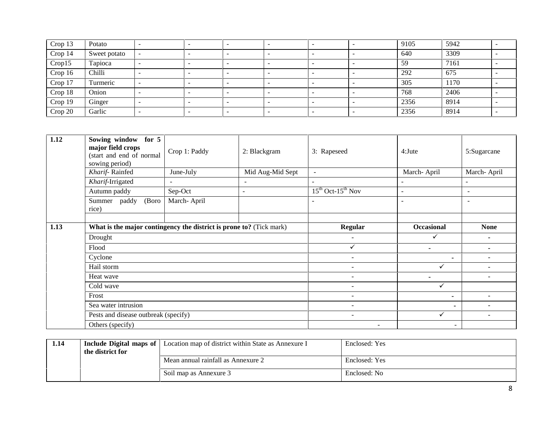| Crop 13 | Potato       |        | $\overline{\phantom{0}}$ |   |   |                          | 9105 | 5942 |  |
|---------|--------------|--------|--------------------------|---|---|--------------------------|------|------|--|
| Crop 14 | Sweet potato |        | $\overline{\phantom{0}}$ |   | - | -                        | 640  | 3309 |  |
| Crop15  | Tapioca      |        | $\overline{\phantom{0}}$ | - | - | $\overline{\phantom{0}}$ | 59   | 7161 |  |
| Crop 16 | Chilli       |        | $\overline{\phantom{0}}$ | - | - | $\overline{\phantom{0}}$ | 292  | 675  |  |
| Crop 17 | Turmeric     | $\sim$ | $\overline{\phantom{0}}$ | - | - | $\overline{\phantom{0}}$ | 305  | 1170 |  |
| Crop 18 | Onion        |        | $\overline{\phantom{0}}$ |   |   |                          | 768  | 2406 |  |
| Crop 19 | Ginger       |        | $\overline{\phantom{0}}$ | - |   | -                        | 2356 | 8914 |  |
| Crop 20 | Garlic       |        | $\overline{\phantom{0}}$ |   |   | -                        | 2356 | 8914 |  |

| 1.12 | Sowing window for 5<br>major field crops<br>(start and end of normal<br>sowing period) | Crop 1: Paddy            | 2: Blackgram             | 3: Rapeseed                  | $4:$ Jute         | 5:Sugarcane              |
|------|----------------------------------------------------------------------------------------|--------------------------|--------------------------|------------------------------|-------------------|--------------------------|
|      | Kharif-Rainfed                                                                         | June-July                | Mid Aug-Mid Sept         | $\sim$                       | March-April       | March-April              |
|      | Kharif-Irrigated                                                                       | $\overline{\phantom{a}}$ | $\sim$                   | ÷,                           | $\sim$            | $\overline{\phantom{a}}$ |
|      | Autumn paddy                                                                           | Sep-Oct                  | $\overline{\phantom{a}}$ | $15^{th}$ Oct- $15^{th}$ Nov | $\sim$            | $\sim$                   |
|      | (Boro)<br>Summer paddy<br>rice)                                                        | March-April              |                          | ۰                            |                   | $\blacksquare$           |
|      |                                                                                        |                          |                          |                              |                   |                          |
| 1.13 | What is the major contingency the district is prone to? (Tick mark)                    |                          |                          | <b>Regular</b>               | <b>Occasional</b> | <b>None</b>              |
|      | Drought                                                                                |                          |                          |                              |                   |                          |
|      | Flood                                                                                  |                          |                          | ✓                            | $\blacksquare$    | ۰                        |
|      | Cyclone                                                                                |                          |                          | ÷                            | ۰.                |                          |
|      | Hail storm                                                                             |                          |                          | $\overline{a}$               | ✓                 |                          |
|      | Heat wave                                                                              |                          |                          | $\overline{\phantom{a}}$     | $\blacksquare$    | $\overline{\phantom{a}}$ |
|      | Cold wave                                                                              |                          |                          | ٠                            | ✓                 |                          |
|      | Frost                                                                                  |                          |                          | ٠                            | ۰                 |                          |
|      | Sea water intrusion                                                                    |                          |                          | $\overline{a}$               | $\sim$            | $\overline{\phantom{a}}$ |
|      | Pests and disease outbreak (specify)                                                   |                          |                          | ÷                            | $\checkmark$      | $\overline{\phantom{a}}$ |
|      | Others (specify)                                                                       |                          |                          | $\overline{\phantom{0}}$     | $\sim$            |                          |

| 1.14 |                  | <b>Include Digital maps of</b> Location map of district within State as Annexure I | Enclosed: Yes |
|------|------------------|------------------------------------------------------------------------------------|---------------|
|      | the district for |                                                                                    |               |
|      |                  | Mean annual rainfall as Annexure 2                                                 | Enclosed: Yes |
|      |                  | Soil map as Annexure 3                                                             | Enclosed: No  |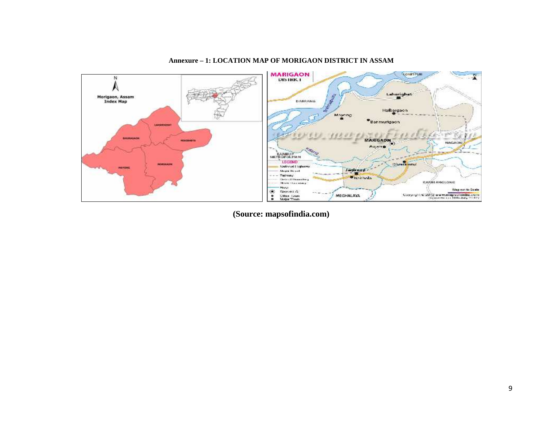

#### **Annexure – 1: LOCATION MAP OF MORIGAON DISTRICT IN ASSAM**

**(Source: mapsofindia.com)**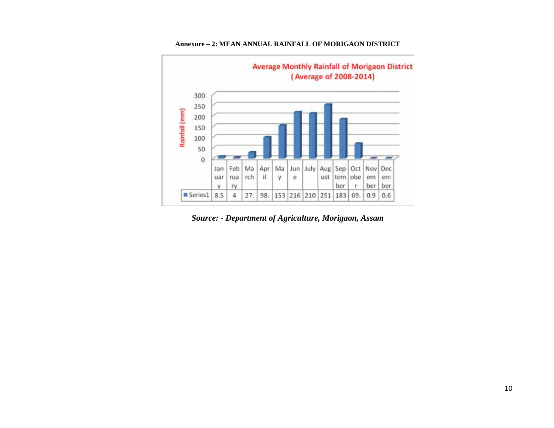

#### **Annexure – 2: MEAN ANNUAL RAINFALL OF MORIGAON DISTRICT**

*Source: - Department of Agriculture, Morigaon, Assam*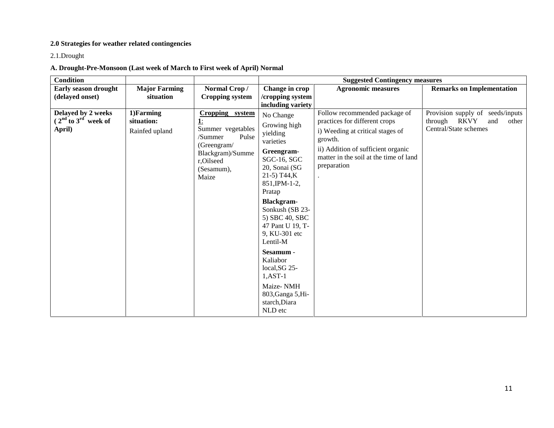## **2.0 Strategies for weather related contingencies**

2.1.Drought

## **A. Drought-Pre-Monsoon (Last week of March to First week of April) Normal**

| <b>Condition</b>                                        |                                            | <b>Suggested Contingency measures</b>                                                                                                        |                                                                                                                                                                                                                                                                                                                                                                                |                                                                                                                                                                                                              |                                                                                              |  |
|---------------------------------------------------------|--------------------------------------------|----------------------------------------------------------------------------------------------------------------------------------------------|--------------------------------------------------------------------------------------------------------------------------------------------------------------------------------------------------------------------------------------------------------------------------------------------------------------------------------------------------------------------------------|--------------------------------------------------------------------------------------------------------------------------------------------------------------------------------------------------------------|----------------------------------------------------------------------------------------------|--|
| Early season drought                                    | <b>Major Farming</b>                       | Normal Crop/                                                                                                                                 | Change in crop                                                                                                                                                                                                                                                                                                                                                                 | <b>Agronomic measures</b>                                                                                                                                                                                    | <b>Remarks on Implementation</b>                                                             |  |
| (delayed onset)                                         | situation                                  | <b>Cropping system</b>                                                                                                                       | /cropping system<br>including variety                                                                                                                                                                                                                                                                                                                                          |                                                                                                                                                                                                              |                                                                                              |  |
| Delayed by 2 weeks<br>$(2nd$ to $3rd$ week of<br>April) | 1) Farming<br>situation:<br>Rainfed upland | Cropping system<br><u>1:</u><br>Summer vegetables<br>Pulse<br>/Summer<br>(Greengram/<br>Blackgram)/Summe<br>r,Oilseed<br>(Sesamum),<br>Maize | No Change<br>Growing high<br>yielding<br>varieties<br>Greengram-<br>SGC-16, SGC<br>20, Sonai (SG<br>$21-5$ ) T44,K<br>851, IPM-1-2,<br>Pratap<br><b>Blackgram-</b><br>Sonkush (SB 23-<br>5) SBC 40, SBC<br>47 Pant U 19, T-<br>9, KU-301 etc<br>Lentil-M<br>Sesamum -<br>Kaliabor<br>local, SG 25-<br>$1, AST-1$<br>Maize-NMH<br>803, Ganga 5, Hi-<br>starch, Diara<br>NLD etc | Follow recommended package of<br>practices for different crops<br>i) Weeding at critical stages of<br>growth.<br>ii) Addition of sufficient organic<br>matter in the soil at the time of land<br>preparation | Provision supply of seeds/inputs<br>through<br>RKVY<br>other<br>and<br>Central/State schemes |  |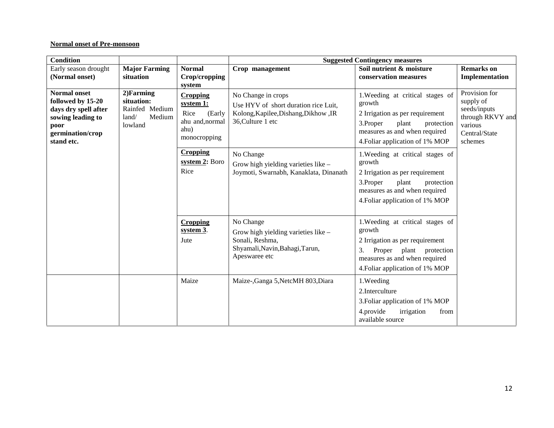#### **Normal onset of Pre-monsoon**

| <b>Condition</b>                                                                                                                |                                                                                                                                                                                            |                                           |                                                                                                                         | <b>Suggested Contingency measures</b>                                                                                                                                                 |                                                                                                       |
|---------------------------------------------------------------------------------------------------------------------------------|--------------------------------------------------------------------------------------------------------------------------------------------------------------------------------------------|-------------------------------------------|-------------------------------------------------------------------------------------------------------------------------|---------------------------------------------------------------------------------------------------------------------------------------------------------------------------------------|-------------------------------------------------------------------------------------------------------|
| Early season drought<br>(Normal onset)                                                                                          | <b>Major Farming</b><br>situation                                                                                                                                                          | <b>Normal</b><br>Crop/cropping<br>system  | Crop management                                                                                                         | Soil nutrient & moisture<br>conservation measures                                                                                                                                     | <b>Remarks</b> on<br>Implementation                                                                   |
| <b>Normal onset</b><br>followed by 15-20<br>days dry spell after<br>sowing leading to<br>poor<br>germination/crop<br>stand etc. | 2)Farming<br><b>Cropping</b><br>situation:<br>system 1:<br>Rainfed Medium<br>Rice<br>land/<br>Medium<br>lowland<br>ahu)<br><b>Cropping</b><br>Rice<br><b>Cropping</b><br>system 3.<br>Jute | (Early<br>ahu and, normal<br>monocropping | No Change in crops<br>Use HYV of short duration rice Luit,<br>Kolong, Kapilee, Dishang, Dikhow, IR<br>36, Culture 1 etc | 1. Weeding at critical stages of<br>growth<br>2 Irrigation as per requirement<br>3.Proper<br>plant<br>protection<br>measures as and when required<br>4. Foliar application of 1% MOP  | Provision for<br>supply of<br>seeds/inputs<br>through RKVY and<br>various<br>Central/State<br>schemes |
|                                                                                                                                 |                                                                                                                                                                                            | system 2: Boro                            | No Change<br>Grow high yielding varieties like -<br>Joymoti, Swarnabh, Kanaklata, Dinanath                              | 1. Weeding at critical stages of<br>growth<br>2 Irrigation as per requirement<br>3. Proper<br>plant<br>protection<br>measures as and when required<br>4. Foliar application of 1% MOP |                                                                                                       |
|                                                                                                                                 |                                                                                                                                                                                            |                                           | No Change<br>Grow high yielding varieties like -<br>Sonali, Reshma,<br>Shyamali, Navin, Bahagi, Tarun,<br>Apeswaree etc | 1. Weeding at critical stages of<br>growth<br>2 Irrigation as per requirement<br>3.<br>Proper plant protection<br>measures as and when required<br>4. Foliar application of 1% MOP    |                                                                                                       |
|                                                                                                                                 |                                                                                                                                                                                            | Maize                                     | Maize-, Ganga 5, NetcMH 803, Diara                                                                                      | 1.Weeding<br>2. Interculture<br>3. Foliar application of 1% MOP<br>4.provide<br>irrigation<br>from<br>available source                                                                |                                                                                                       |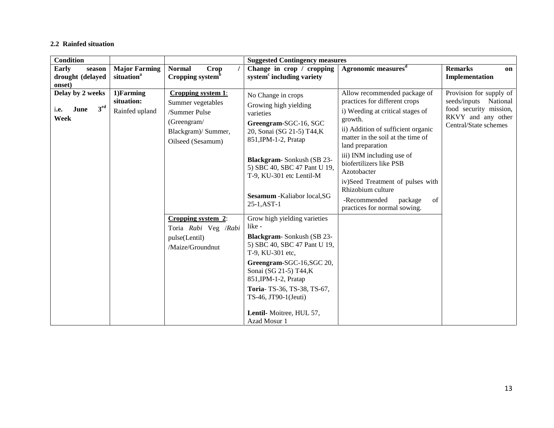#### **2.2 Rainfed situation**

| <b>Condition</b>                                            |                                                |                                                                                                                     | <b>Suggested Contingency measures</b>                                                                                                  |                                                                                                                                                                                                             |                                                                                                                              |
|-------------------------------------------------------------|------------------------------------------------|---------------------------------------------------------------------------------------------------------------------|----------------------------------------------------------------------------------------------------------------------------------------|-------------------------------------------------------------------------------------------------------------------------------------------------------------------------------------------------------------|------------------------------------------------------------------------------------------------------------------------------|
| Early<br>season<br>drought (delayed<br>onset)               | <b>Major Farming</b><br>situation <sup>a</sup> | <b>Normal</b><br>Crop<br>Cropping system <sup>b</sup>                                                               | Change in crop / cropping<br>system <sup>c</sup> including variety                                                                     | Agronomic measures <sup>d</sup>                                                                                                                                                                             | <b>Remarks</b><br>on<br>Implementation                                                                                       |
| Delay by 2 weeks<br>3 <sup>rd</sup><br>June<br>i.e.<br>Week | 1)Farming<br>situation:<br>Rainfed upland      | Cropping system 1:<br>Summer vegetables<br>/Summer Pulse<br>(Greengram/<br>Blackgram)/ Summer,<br>Oilseed (Sesamum) | No Change in crops<br>Growing high yielding<br>varieties<br>Greengram-SGC-16, SGC<br>20, Sonai (SG 21-5) T44,K<br>851, IPM-1-2, Pratap | Allow recommended package of<br>practices for different crops<br>i) Weeding at critical stages of<br>growth.<br>ii) Addition of sufficient organic<br>matter in the soil at the time of<br>land preparation | Provision for supply of<br>seeds/inputs<br>National<br>food security mission,<br>RKVY and any other<br>Central/State schemes |
|                                                             |                                                |                                                                                                                     | Blackgram-Sonkush (SB 23-<br>5) SBC 40, SBC 47 Pant U 19,<br>T-9, KU-301 etc Lentil-M                                                  | iii) INM including use of<br>biofertilizers like PSB<br>Azotobacter                                                                                                                                         |                                                                                                                              |
|                                                             |                                                |                                                                                                                     | Sesamum - Kaliabor local, SG<br>25-1, AST-1                                                                                            | iv)Seed Treatment of pulses with<br>Rhizobium culture<br>-Recommended<br>package<br>of<br>practices for normal sowing.                                                                                      |                                                                                                                              |
|                                                             |                                                | Cropping system 2:<br>Toria Rabi Veg /Rabi<br>pulse(Lentil)                                                         | Grow high yielding varieties<br>like -<br>Blackgram-Sonkush (SB 23-<br>5) SBC 40, SBC 47 Pant U 19,                                    |                                                                                                                                                                                                             |                                                                                                                              |
|                                                             |                                                | /Maize/Groundnut                                                                                                    | T-9, KU-301 etc,<br>Greengram-SGC-16,SGC 20,<br>Sonai (SG 21-5) T44,K<br>851, IPM-1-2, Pratap                                          |                                                                                                                                                                                                             |                                                                                                                              |
|                                                             |                                                |                                                                                                                     | Toria-TS-36, TS-38, TS-67,<br>$TS-46$ , $JT90-1$ (Jeuti)<br>Lentil- Moitree, HUL 57,                                                   |                                                                                                                                                                                                             |                                                                                                                              |
|                                                             |                                                |                                                                                                                     | Azad Mosur 1                                                                                                                           |                                                                                                                                                                                                             |                                                                                                                              |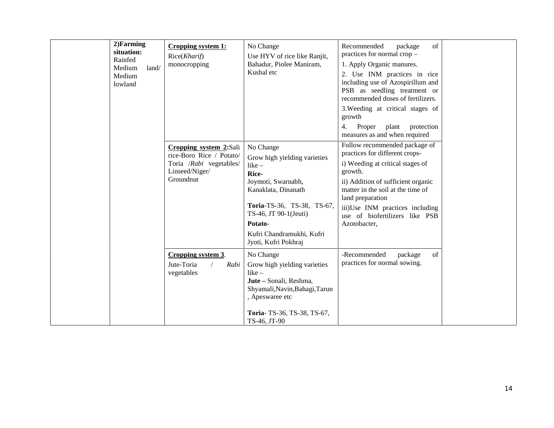| 2)Farming<br>situation:<br>Rainfed<br>Medium<br>land/<br>Medium<br>lowland | Cropping system 1:<br>Rice(Kharif)<br>monocropping                                                           | No Change<br>Use HYV of rice like Ranjit,<br>Bahadur, Piolee Maniram,<br>Kushal etc                                                                                                                                                | Recommended<br>of<br>package<br>practices for normal crop $-$<br>1. Apply Organic manures.<br>2. Use INM practices in rice<br>including use of Azospirillum and<br>PSB as seedling treatment or<br>recommended doses of fertilizers.<br>3. Weeding at critical stages of<br>growth<br>protection<br>4.<br>Proper<br>plant           |
|----------------------------------------------------------------------------|--------------------------------------------------------------------------------------------------------------|------------------------------------------------------------------------------------------------------------------------------------------------------------------------------------------------------------------------------------|-------------------------------------------------------------------------------------------------------------------------------------------------------------------------------------------------------------------------------------------------------------------------------------------------------------------------------------|
|                                                                            | Cropping system 2:Sali<br>rice-Boro Rice / Potato/<br>Toria /Rabi vegetables/<br>Linseed/Niger/<br>Groundnut | No Change<br>Grow high yielding varieties<br>$like -$<br>Rice-<br>Joymoti, Swarnabh,<br>Kanaklata, Dinanath<br>Toria-TS-36, TS-38, TS-67,<br>TS-46, JT 90-1(Jeuti)<br>Potato-<br>Kufri Chandramukhi, Kufri<br>Jyoti, Kufri Pokhraj | measures as and when required<br>Follow recommended package of<br>practices for different crops-<br>i) Weeding at critical stages of<br>growth.<br>ii) Addition of sufficient organic<br>matter in the soil at the time of<br>land preparation<br>iii)Use INM practices including<br>use of biofertilizers like PSB<br>Azotobacter, |
|                                                                            | Cropping system 3.<br>Jute-Toria<br>Rabi<br>vegetables                                                       | No Change<br>Grow high yielding varieties<br>$like -$<br>Jute - Sonali, Reshma,<br>Shyamali, Navin, Bahagi, Tarun<br>, Apeswaree etc<br>Toria-TS-36, TS-38, TS-67,<br>TS-46, JT-90                                                 | -Recommended<br>of<br>package<br>practices for normal sowing.                                                                                                                                                                                                                                                                       |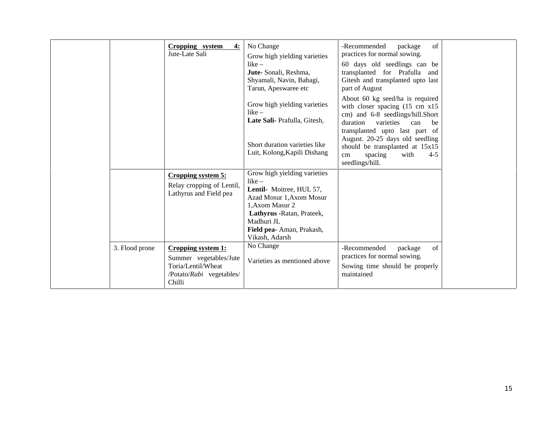| Cropping system<br>Jute-Late Sali                                                                                          | No Change<br>4:<br>Grow high yielding varieties                                                                                                                                                               | -Recommended<br>of<br>package<br>practices for normal sowing.                                                                                                                             |
|----------------------------------------------------------------------------------------------------------------------------|---------------------------------------------------------------------------------------------------------------------------------------------------------------------------------------------------------------|-------------------------------------------------------------------------------------------------------------------------------------------------------------------------------------------|
|                                                                                                                            | $like -$<br>Jute-Sonali, Reshma,<br>Shyamali, Navin, Bahagi,<br>Tarun, Apeswaree etc                                                                                                                          | 60 days old seedlings can be<br>transplanted for Prafulla and<br>Gitesh and transplanted upto last<br>part of August                                                                      |
|                                                                                                                            | Grow high yielding varieties<br>$like -$<br>Late Sali- Prafulla, Gitesh,                                                                                                                                      | About 60 kg seed/ha is required<br>with closer spacing $(15 \text{ cm } x15)$<br>cm) and 6-8 seedlings/hill.Short<br>duration<br>varieties<br>can<br>be<br>transplanted upto last part of |
|                                                                                                                            | Short duration varieties like<br>Luit, Kolong, Kapili Dishang                                                                                                                                                 | August. 20-25 days old seedling<br>should be transplanted at 15x15<br>with<br>$4 - 5$<br>spacing<br>cm<br>seedlings/hill.                                                                 |
| Cropping system 5:<br>Relay cropping of Lentil,<br>Lathyrus and Field pea                                                  | Grow high yielding varieties<br>$like -$<br>Lentil- Moitree, HUL 57,<br>Azad Mosur 1, Axom Mosur<br>1.Axom Masur 2<br>Lathyrus - Ratan, Prateek,<br>Madhuri JL<br>Field pea- Aman, Prakash,<br>Vikash, Adarsh |                                                                                                                                                                                           |
| 3. Flood prone<br>Cropping system 1:<br>Summer vegetables/Jute<br>Toria/Lentil/Wheat<br>/Potato/Rabi vegetables/<br>Chilli | No Change<br>Varieties as mentioned above                                                                                                                                                                     | -Recommended<br>of<br>package<br>practices for normal sowing.<br>Sowing time should be properly<br>maintained                                                                             |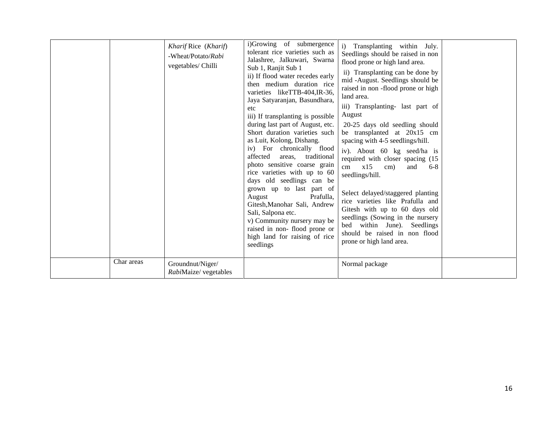|            | Kharif Rice (Kharif)<br>-Wheat/Potato/Rabi<br>vegetables/ Chilli | i)Growing of submergence<br>tolerant rice varieties such as<br>Jalashree, Jalkuwari, Swarna<br>Sub 1, Ranjit Sub 1<br>ii) If flood water recedes early<br>then medium duration rice<br>varieties likeTTB-404, IR-36,<br>Jaya Satyaranjan, Basundhara,<br>etc<br>iii) If transplanting is possible<br>during last part of August, etc.<br>Short duration varieties such<br>as Luit, Kolong, Dishang.<br>iv) For chronically flood<br>affected<br>areas, traditional<br>photo sensitive coarse grain<br>rice varieties with up to 60<br>days old seedlings can be<br>grown up to last part of<br>Prafulla,<br>August<br>Gitesh, Manohar Sali, Andrew<br>Sali, Salpona etc.<br>v) Community nursery may be<br>raised in non-flood prone or<br>high land for raising of rice<br>seedlings | i) Transplanting within July.<br>Seedlings should be raised in non<br>flood prone or high land area.<br>ii) Transplanting can be done by<br>mid -August. Seedlings should be<br>raised in non-flood prone or high<br>land area.<br>iii) Transplanting- last part of<br>August<br>20-25 days old seedling should<br>be transplanted at 20x15 cm<br>spacing with 4-5 seedlings/hill.<br>iv). About 60 kg seed/ha is<br>required with closer spacing (15<br>x15<br>and<br>cm<br>cm)<br>$6-8$<br>seedlings/hill.<br>Select delayed/staggered planting<br>rice varieties like Prafulla and<br>Gitesh with up to 60 days old<br>seedlings (Sowing in the nursery<br>bed within June). Seedlings<br>should be raised in non flood<br>prone or high land area. |  |
|------------|------------------------------------------------------------------|---------------------------------------------------------------------------------------------------------------------------------------------------------------------------------------------------------------------------------------------------------------------------------------------------------------------------------------------------------------------------------------------------------------------------------------------------------------------------------------------------------------------------------------------------------------------------------------------------------------------------------------------------------------------------------------------------------------------------------------------------------------------------------------|--------------------------------------------------------------------------------------------------------------------------------------------------------------------------------------------------------------------------------------------------------------------------------------------------------------------------------------------------------------------------------------------------------------------------------------------------------------------------------------------------------------------------------------------------------------------------------------------------------------------------------------------------------------------------------------------------------------------------------------------------------|--|
| Char areas | Groundnut/Niger/<br>RabiMaize/ vegetables                        |                                                                                                                                                                                                                                                                                                                                                                                                                                                                                                                                                                                                                                                                                                                                                                                       | Normal package                                                                                                                                                                                                                                                                                                                                                                                                                                                                                                                                                                                                                                                                                                                                         |  |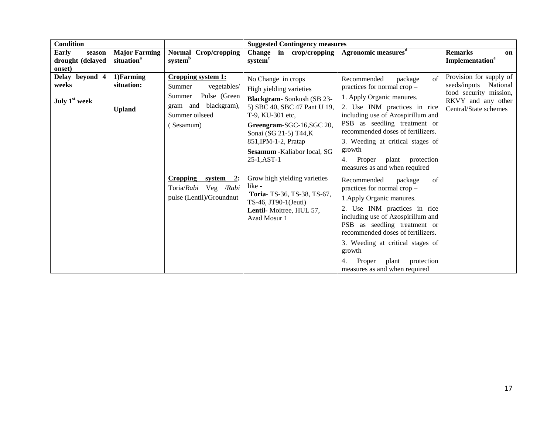| <b>Condition</b>                                     |                                                |                                                                                                                              | <b>Suggested Contingency measures</b>                                                                                                                                                                                                                                |                                                                                                                                                                                                                                                                                                                                                               |                                                                                                                              |
|------------------------------------------------------|------------------------------------------------|------------------------------------------------------------------------------------------------------------------------------|----------------------------------------------------------------------------------------------------------------------------------------------------------------------------------------------------------------------------------------------------------------------|---------------------------------------------------------------------------------------------------------------------------------------------------------------------------------------------------------------------------------------------------------------------------------------------------------------------------------------------------------------|------------------------------------------------------------------------------------------------------------------------------|
| <b>Early</b><br>season<br>drought (delayed<br>onset) | <b>Major Farming</b><br>situation <sup>a</sup> | Normal Crop/cropping<br>system <sup>b</sup>                                                                                  | <b>Change</b><br>in crop/cropping<br>system <sup>c</sup>                                                                                                                                                                                                             | Agronomic measures <sup>d</sup>                                                                                                                                                                                                                                                                                                                               | <b>Remarks</b><br>on<br>Implementation <sup>e</sup>                                                                          |
| Delay beyond 4<br>weeks<br>July 1 <sup>st</sup> week | 1)Farming<br>situation:<br><b>Upland</b>       | Cropping system 1:<br>Summer<br>vegetables/<br>Pulse (Green<br>Summer<br>gram and blackgram),<br>Summer oilseed<br>(Sesamum) | No Change in crops<br>High yielding varieties<br>Blackgram-Sonkush (SB 23-<br>5) SBC 40, SBC 47 Pant U 19,<br>T-9. KU-301 etc.<br>Greengram-SGC-16, SGC 20,<br>Sonai (SG 21-5) T44,K<br>851, IPM-1-2, Pratap<br><b>Sesamum</b> - Kaliabor local, SG<br>$25-1, AST-1$ | $\sigma$ f<br>Recommended<br>package<br>practices for normal crop -<br>1. Apply Organic manures.<br>2. Use INM practices in rice<br>including use of Azospirillum and<br>PSB as seedling treatment or<br>recommended doses of fertilizers.<br>3. Weeding at critical stages of<br>growth<br>Proper plant<br>protection<br>4.<br>measures as and when required | Provision for supply of<br>seeds/inputs<br>National<br>food security mission,<br>RKVY and any other<br>Central/State schemes |
|                                                      |                                                | Cropping system<br>2:<br>Toria/Rabi Veg /Rabi<br>pulse (Lentil)/Groundnut                                                    | Grow high yielding varieties<br>like -<br>Toria-TS-36, TS-38, TS-67,<br>TS-46, JT90-1(Jeuti)<br>Lentil-Moitree, HUL 57,<br>Azad Mosur 1                                                                                                                              | Recommended<br>package<br>of<br>practices for normal crop -<br>1. Apply Organic manures.<br>2. Use INM practices in rice<br>including use of Azospirillum and<br>PSB as seedling treatment or<br>recommended doses of fertilizers.<br>3. Weeding at critical stages of<br>growth<br>Proper<br>plant<br>protection<br>measures as and when required            |                                                                                                                              |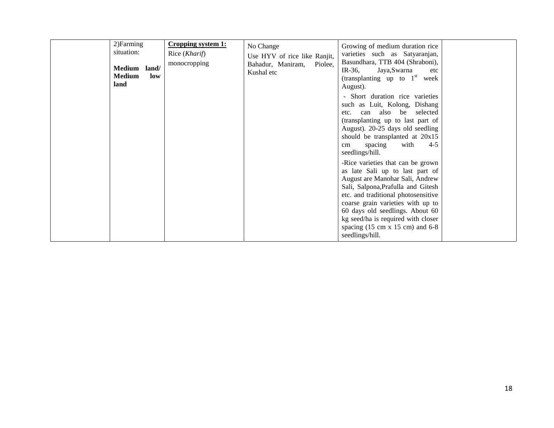| 2) Farming<br>situation:<br>Medium land/<br><b>Medium</b><br>low<br>land | Cropping system 1:<br>Rice ( <i>Kharif</i> )<br>monocropping | No Change<br>Use HYV of rice like Ranjit,<br>Bahadur, Maniram,<br>Piolee,<br>Kushal etc | Growing of medium duration rice<br>varieties such as Satyaranjan,<br>Basundhara, TTB 404 (Shraboni),<br>IR-36,<br>Jaya,Swarna<br>etc<br>(transplanting up to $1st$ week<br>August).<br>- Short duration rice varieties<br>such as Luit, Kolong, Dishang<br>can also be selected<br>etc.<br>(transplanting up to last part of<br>August). 20-25 days old seedling<br>should be transplanted at 20x15<br>with<br>$4-5$<br>spacing<br>cm<br>seedlings/hill.<br>-Rice varieties that can be grown<br>as late Sali up to last part of<br>August are Manohar Sali, Andrew<br>Sali, Salpona, Prafulla and Gitesh<br>etc. and traditional photosensitive<br>coarse grain varieties with up to<br>60 days old seedlings. About 60<br>kg seed/ha is required with closer<br>spacing $(15 \text{ cm} \times 15 \text{ cm})$ and 6-8<br>seedlings/hill. |  |
|--------------------------------------------------------------------------|--------------------------------------------------------------|-----------------------------------------------------------------------------------------|---------------------------------------------------------------------------------------------------------------------------------------------------------------------------------------------------------------------------------------------------------------------------------------------------------------------------------------------------------------------------------------------------------------------------------------------------------------------------------------------------------------------------------------------------------------------------------------------------------------------------------------------------------------------------------------------------------------------------------------------------------------------------------------------------------------------------------------------|--|
|--------------------------------------------------------------------------|--------------------------------------------------------------|-----------------------------------------------------------------------------------------|---------------------------------------------------------------------------------------------------------------------------------------------------------------------------------------------------------------------------------------------------------------------------------------------------------------------------------------------------------------------------------------------------------------------------------------------------------------------------------------------------------------------------------------------------------------------------------------------------------------------------------------------------------------------------------------------------------------------------------------------------------------------------------------------------------------------------------------------|--|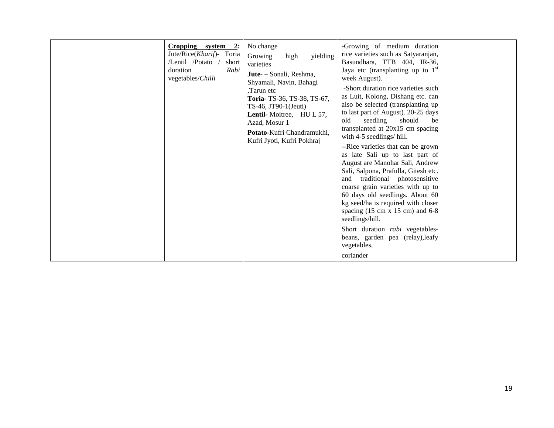| $Cropping$ system 2:<br>Jute/Rice(Kharif)- Toria<br>/Lentil /Potato<br>short<br>duration<br>Rabi<br>vegetables/Chilli | No change<br>Growing<br>yielding<br>high<br>varieties<br>Jute- - Sonali, Reshma,<br>Shyamali, Navin, Bahagi<br>Tarun etc.<br>Toria-TS-36, TS-38, TS-67,<br>$TS-46$ , JT90-1(Jeuti)<br>Lentil-Moitree, HUL 57,<br>Azad, Mosur 1<br>Potato-Kufri Chandramukhi.<br>Kufri Jyoti, Kufri Pokhraj | -Growing of medium duration<br>rice varieties such as Satyaranjan,<br>Basundhara, TTB 404, IR-36,<br>Jaya etc (transplanting up to $1st$<br>week August).<br>-Short duration rice varieties such<br>as Luit, Kolong, Dishang etc. can<br>also be selected (transplanting up<br>to last part of August). 20-25 days<br>old<br>seedling should<br>be<br>transplanted at 20x15 cm spacing<br>with 4-5 seedlings/hill.<br>--Rice varieties that can be grown<br>as late Sali up to last part of<br>August are Manohar Sali, Andrew<br>Sali, Salpona, Prafulla, Gitesh etc.<br>and traditional photosensitive<br>coarse grain varieties with up to<br>60 days old seedlings. About 60<br>kg seed/ha is required with closer<br>spacing $(15 \text{ cm} \times 15 \text{ cm})$ and 6-8<br>seedlings/hill.<br>Short duration <i>rabi</i> vegetables-<br>beans, garden pea (relay), leafy<br>vegetables,<br>coriander |  |
|-----------------------------------------------------------------------------------------------------------------------|--------------------------------------------------------------------------------------------------------------------------------------------------------------------------------------------------------------------------------------------------------------------------------------------|---------------------------------------------------------------------------------------------------------------------------------------------------------------------------------------------------------------------------------------------------------------------------------------------------------------------------------------------------------------------------------------------------------------------------------------------------------------------------------------------------------------------------------------------------------------------------------------------------------------------------------------------------------------------------------------------------------------------------------------------------------------------------------------------------------------------------------------------------------------------------------------------------------------|--|
|-----------------------------------------------------------------------------------------------------------------------|--------------------------------------------------------------------------------------------------------------------------------------------------------------------------------------------------------------------------------------------------------------------------------------------|---------------------------------------------------------------------------------------------------------------------------------------------------------------------------------------------------------------------------------------------------------------------------------------------------------------------------------------------------------------------------------------------------------------------------------------------------------------------------------------------------------------------------------------------------------------------------------------------------------------------------------------------------------------------------------------------------------------------------------------------------------------------------------------------------------------------------------------------------------------------------------------------------------------|--|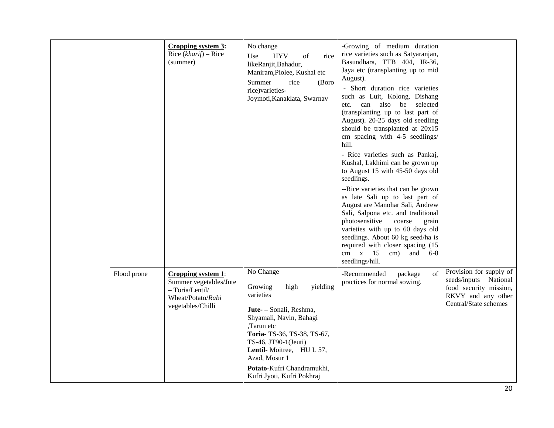|             | Cropping system 3:<br>Rice $(kharif)$ – Rice<br>(summer)                                                  | No change<br><b>HYV</b><br>Use<br>of<br>rice<br>likeRanjit,Bahadur,<br>Maniram, Piolee, Kushal etc<br>Summer<br>rice<br>(Boro<br>rice)varieties-<br>Joymoti, Kanaklata, Swarnav                                                                                                         | -Growing of medium duration<br>rice varieties such as Satyaranjan,<br>Basundhara, TTB 404, IR-36,<br>Jaya etc (transplanting up to mid<br>August).<br>- Short duration rice varieties<br>such as Luit, Kolong, Dishang<br>can also<br>be selected<br>etc.<br>(transplanting up to last part of<br>August). 20-25 days old seedling<br>should be transplanted at 20x15<br>cm spacing with 4-5 seedlings/<br>hill.<br>- Rice varieties such as Pankaj,<br>Kushal, Lakhimi can be grown up<br>to August 15 with 45-50 days old<br>seedlings.<br>--Rice varieties that can be grown<br>as late Sali up to last part of<br>August are Manohar Sali, Andrew<br>Sali, Salpona etc. and traditional<br>photosensitive<br>coarse<br>grain<br>varieties with up to 60 days old<br>seedlings. About 60 kg seed/ha is<br>required with closer spacing (15<br>cm $x$ 15 cm) and 6-8<br>seedlings/hill. |                                                                                                                           |
|-------------|-----------------------------------------------------------------------------------------------------------|-----------------------------------------------------------------------------------------------------------------------------------------------------------------------------------------------------------------------------------------------------------------------------------------|-------------------------------------------------------------------------------------------------------------------------------------------------------------------------------------------------------------------------------------------------------------------------------------------------------------------------------------------------------------------------------------------------------------------------------------------------------------------------------------------------------------------------------------------------------------------------------------------------------------------------------------------------------------------------------------------------------------------------------------------------------------------------------------------------------------------------------------------------------------------------------------------|---------------------------------------------------------------------------------------------------------------------------|
| Flood prone | Cropping system 1:<br>Summer vegetables/Jute<br>- Toria/Lentil/<br>Wheat/Potato/Rabi<br>vegetables/Chilli | No Change<br>Growing<br>high<br>yielding<br>varieties<br>Jute- - Sonali, Reshma,<br>Shyamali, Navin, Bahagi<br>,Tarun etc<br>Toria-TS-36, TS-38, TS-67,<br>TS-46, JT90-1(Jeuti)<br>Lentil-Moitree, HUL 57,<br>Azad, Mosur 1<br>Potato-Kufri Chandramukhi,<br>Kufri Jyoti, Kufri Pokhraj | of<br>-Recommended<br>package<br>practices for normal sowing.                                                                                                                                                                                                                                                                                                                                                                                                                                                                                                                                                                                                                                                                                                                                                                                                                             | Provision for supply of<br>seeds/inputs National<br>food security mission,<br>RKVY and any other<br>Central/State schemes |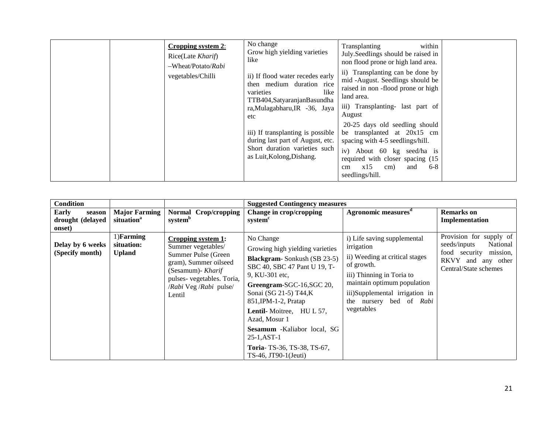| Cropping system 2:<br>Rice(Late Kharif)<br>-Wheat/Potato/Rabi<br>vegetables/Chilli | No change<br>Grow high yielding varieties<br>like<br>ii) If flood water recedes early<br>then medium duration rice<br>varieties<br>like<br>TTB404, Satyaranjan Basundha<br>ra, Mulagabharu, IR -36, Jaya<br>etc | within<br>Transplanting<br>July.Seedlings should be raised in<br>non flood prone or high land area.<br>ii) Transplanting can be done by<br>mid -August. Seedlings should be<br>raised in non-flood prone or high<br>land area.<br>iii) Transplanting- last part of<br>August<br>20-25 days old seedling should |  |
|------------------------------------------------------------------------------------|-----------------------------------------------------------------------------------------------------------------------------------------------------------------------------------------------------------------|----------------------------------------------------------------------------------------------------------------------------------------------------------------------------------------------------------------------------------------------------------------------------------------------------------------|--|
|                                                                                    | iii) If transplanting is possible<br>during last part of August, etc.<br>Short duration varieties such<br>as Luit, Kolong, Dishang.                                                                             | be transplanted at 20x15 cm<br>spacing with 4-5 seedlings/hill.<br>iv) About 60 kg seed/ha is<br>required with closer spacing (15)<br>$6 - 8$<br>x15<br>and<br>cm)<br>cm<br>seedlings/hill.                                                                                                                    |  |

| <b>Condition</b>                              |                                                |                                                                                                                                                                                       | <b>Suggested Contingency measures</b>                                                                                                                                                                                                                                                                                                                                                     |                                                                                                                                                                                                                                  |                                                                                                                                 |
|-----------------------------------------------|------------------------------------------------|---------------------------------------------------------------------------------------------------------------------------------------------------------------------------------------|-------------------------------------------------------------------------------------------------------------------------------------------------------------------------------------------------------------------------------------------------------------------------------------------------------------------------------------------------------------------------------------------|----------------------------------------------------------------------------------------------------------------------------------------------------------------------------------------------------------------------------------|---------------------------------------------------------------------------------------------------------------------------------|
| Early<br>season<br>drought (delayed<br>onset) | <b>Major Farming</b><br>situation <sup>a</sup> | Normal Crop/cropping<br>system <sup>b</sup>                                                                                                                                           | Change in crop/cropping<br>system <sup>c</sup>                                                                                                                                                                                                                                                                                                                                            | Agronomic measures <sup>d</sup>                                                                                                                                                                                                  | <b>Remarks</b> on<br>Implementation                                                                                             |
| Delay by 6 weeks<br>(Specify month)           | 1)Farming<br>situation:<br><b>Upland</b>       | Cropping system 1:<br>Summer vegetables/<br>Summer Pulse (Green<br>gram), Summer oilseed<br>(Sesamum)- <i>Kharif</i><br>pulses-vegetables. Toria,<br>/Rabi Veg /Rabi pulse/<br>Lentil | No Change<br>Growing high yielding varieties<br><b>Blackgram-Sonkush (SB 23-5)</b><br>SBC 40, SBC 47 Pant U 19, T-<br>9, KU-301 etc.<br>Greengram-SGC-16, SGC 20,<br>Sonai (SG 21-5) T44,K<br>$851$ , IPM-1-2, Pratap<br><b>Lentil-</b> Moitree, HUL 57,<br>Azad, Mosur 1<br><b>Sesamum</b> -Kaliabor local, SG<br>$25-1, AST-1$<br>Toria-TS-36, TS-38, TS-67,<br>$TS-46$ , JT90-1(Jeuti) | i) Life saving supplemental<br>irrigation<br>ii) Weeding at critical stages<br>of growth.<br>iii) Thinning in Toria to<br>maintain optimum population<br>iii)Supplemental irrigation in<br>the nursery bed of Rabi<br>vegetables | Provision for supply of<br>seeds/inputs<br>National<br>mission,<br>food security<br>RKVY and any other<br>Central/State schemes |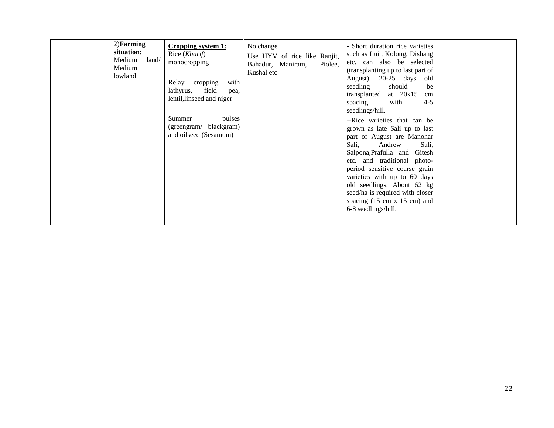| $2)$ Farming<br>situation:<br>Medium<br>land/<br>Medium<br>lowland | Cropping system 1:<br>Rice ( <i>Kharif</i> )<br>monocropping<br>Relay cropping<br>with<br>field<br>lathyrus,<br>pea,<br>lentil, linseed and niger<br>pulses<br>Summer<br>(greengram/ blackgram)<br>and oilseed (Sesamum) | No change<br>Use HYV of rice like Ranjit,<br>Bahadur, Maniram,<br>Piolee.<br>Kushal etc | - Short duration rice varieties<br>such as Luit, Kolong, Dishang<br>etc. can also be selected<br>(transplanting up to last part of<br>August). 20-25 days old<br>seedling<br>should<br>be<br>at $20x15$<br>transplanted<br>cm<br>with<br>$4 - 5$<br>spacing<br>seedlings/hill.<br>--Rice varieties that can be<br>grown as late Sali up to last<br>part of August are Manohar<br>Sali,<br>Andrew<br>Sali,<br>Salpona, Prafulla and Gitesh<br>etc. and traditional photo-<br>period sensitive coarse grain<br>varieties with up to 60 days<br>old seedlings. About 62 kg<br>seed/ha is required with closer<br>spacing $(15 \text{ cm } x \ 15 \text{ cm})$ and<br>6-8 seedlings/hill. |  |
|--------------------------------------------------------------------|--------------------------------------------------------------------------------------------------------------------------------------------------------------------------------------------------------------------------|-----------------------------------------------------------------------------------------|---------------------------------------------------------------------------------------------------------------------------------------------------------------------------------------------------------------------------------------------------------------------------------------------------------------------------------------------------------------------------------------------------------------------------------------------------------------------------------------------------------------------------------------------------------------------------------------------------------------------------------------------------------------------------------------|--|
|--------------------------------------------------------------------|--------------------------------------------------------------------------------------------------------------------------------------------------------------------------------------------------------------------------|-----------------------------------------------------------------------------------------|---------------------------------------------------------------------------------------------------------------------------------------------------------------------------------------------------------------------------------------------------------------------------------------------------------------------------------------------------------------------------------------------------------------------------------------------------------------------------------------------------------------------------------------------------------------------------------------------------------------------------------------------------------------------------------------|--|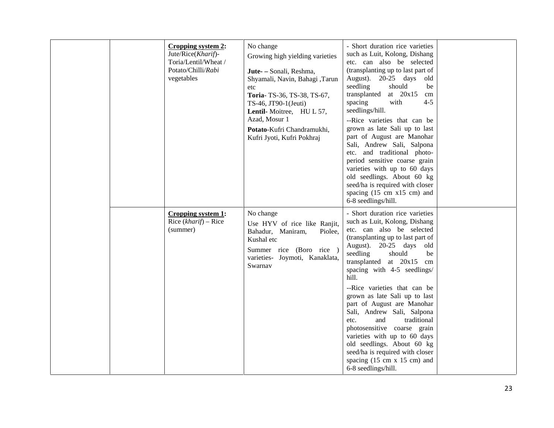|  | Cropping system 2:<br>Jute/Rice(Kharif)-<br>Toria/Lentil/Wheat /<br>Potato/Chilli/Rabi<br>vegetables | No change<br>Growing high yielding varieties<br>Jute- - Sonali, Reshma,<br>Shyamali, Navin, Bahagi, Tarun<br>etc<br>Toria-TS-36, TS-38, TS-67,<br>TS-46, JT90-1(Jeuti)<br>Lentil-Moitree, HUL 57,<br>Azad, Mosur 1<br>Potato-Kufri Chandramukhi,<br>Kufri Jyoti, Kufri Pokhraj | - Short duration rice varieties<br>such as Luit, Kolong, Dishang<br>etc. can also be selected<br>(transplanting up to last part of<br>August). 20-25 days old<br>should<br>seedling<br>be<br>transplanted<br>at $20x15$<br>cm<br>$4 - 5$<br>spacing<br>with<br>seedlings/hill.<br>--Rice varieties that can be<br>grown as late Sali up to last<br>part of August are Manohar<br>Sali, Andrew Sali, Salpona<br>etc. and traditional photo-<br>period sensitive coarse grain<br>varieties with up to 60 days<br>old seedlings. About 60 kg<br>seed/ha is required with closer<br>spacing (15 cm x15 cm) and<br>6-8 seedlings/hill.      |  |
|--|------------------------------------------------------------------------------------------------------|--------------------------------------------------------------------------------------------------------------------------------------------------------------------------------------------------------------------------------------------------------------------------------|----------------------------------------------------------------------------------------------------------------------------------------------------------------------------------------------------------------------------------------------------------------------------------------------------------------------------------------------------------------------------------------------------------------------------------------------------------------------------------------------------------------------------------------------------------------------------------------------------------------------------------------|--|
|  | Cropping system 1:<br>Rice $(kharif)$ – Rice<br>(summer)                                             | No change<br>Use HYV of rice like Ranjit,<br>Bahadur, Maniram,<br>Piolee,<br>Kushal etc<br>Summer rice (Boro rice )<br>varieties- Joymoti, Kanaklata,<br>Swarnav                                                                                                               | - Short duration rice varieties<br>such as Luit, Kolong, Dishang<br>etc. can also be selected<br>(transplanting up to last part of<br>August). 20-25 days<br>old<br>seedling<br>should<br>be<br>transplanted at 20x15 cm<br>spacing with 4-5 seedlings/<br>hill.<br>--Rice varieties that can be<br>grown as late Sali up to last<br>part of August are Manohar<br>Sali, Andrew Sali, Salpona<br>and<br>traditional<br>etc.<br>photosensitive coarse grain<br>varieties with up to 60 days<br>old seedlings. About 60 kg<br>seed/ha is required with closer<br>spacing $(15 \text{ cm } x \ 15 \text{ cm})$ and<br>6-8 seedlings/hill. |  |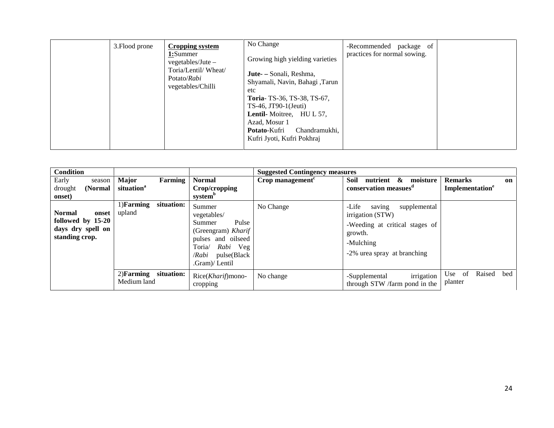|  | 3. Flood prone | <b>Cropping system</b><br>1:Summer<br>$vegetables/Jute -$<br>Toria/Lentil/Wheat/<br>Potato/Rabi<br>vegetables/Chilli | No Change<br>Growing high yielding varieties<br><b>Jute-</b> – Sonali, Reshma,<br>Shyamali, Navin, Bahagi, Tarun<br>etc<br>Toria-TS-36, TS-38, TS-67,<br>$TS-46$ , JT90-1(Jeuti)<br><b>Lentil-</b> Moitree, HUL 57,<br>Azad, Mosur 1<br><b>Potato-Kufri</b><br>Chandramukhi.<br>Kufri Jyoti, Kufri Pokhraj | -Recommended package of<br>practices for normal sowing. |  |
|--|----------------|----------------------------------------------------------------------------------------------------------------------|------------------------------------------------------------------------------------------------------------------------------------------------------------------------------------------------------------------------------------------------------------------------------------------------------------|---------------------------------------------------------|--|
|--|----------------|----------------------------------------------------------------------------------------------------------------------|------------------------------------------------------------------------------------------------------------------------------------------------------------------------------------------------------------------------------------------------------------------------------------------------------------|---------------------------------------------------------|--|

| <b>Condition</b>                                                                   |                                                   |                                                                                                                                                   | <b>Suggested Contingency measures</b> |                                                                                                                                              |                                                     |
|------------------------------------------------------------------------------------|---------------------------------------------------|---------------------------------------------------------------------------------------------------------------------------------------------------|---------------------------------------|----------------------------------------------------------------------------------------------------------------------------------------------|-----------------------------------------------------|
| Early<br>season<br>(Normal<br>drought<br>onset)                                    | <b>Major</b><br>Farming<br>situation <sup>a</sup> | <b>Normal</b><br>Crop/cropping<br>system <sup>b</sup>                                                                                             | Crop management $c$                   | Soil<br>$\boldsymbol{\&}$<br>nutrient<br>moisture<br>conservation measues <sup>d</sup>                                                       | <b>Remarks</b><br>on<br>Implementation <sup>e</sup> |
| <b>Normal</b><br>onset<br>followed by 15-20<br>days dry spell on<br>standing crop. | situation:<br>1) <b>Farming</b><br>upland         | Summer<br>vegetables/<br>Pulse<br>Summer<br>(Greengram) Kharif<br>pulses and oilseed<br>Toria/<br>Rabi Veg<br>/Rabi pulse(Black<br>.Gram)/ Lentil | No Change                             | -Life<br>saving<br>supplemental<br>irrigation (STW)<br>-Weeding at critical stages of<br>growth.<br>-Mulching<br>-2% urea spray at branching |                                                     |
|                                                                                    | 2) Farming situation:<br>Medium land              | Rice(Kharif)mono-<br>cropping                                                                                                                     | No change                             | irrigation<br>-Supplemental<br>through STW /farm pond in the                                                                                 | Raised<br>- of<br>bed<br>Use<br>planter             |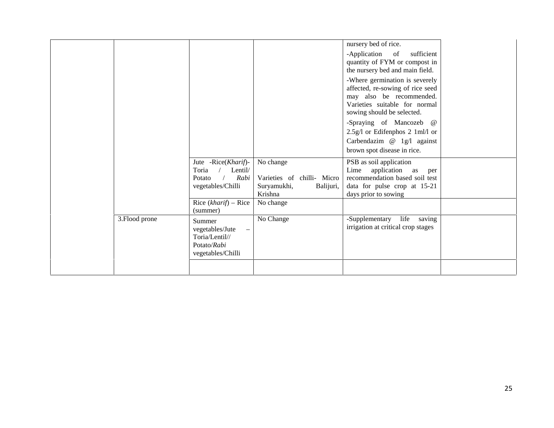|                |                                                                                 |                                                                                | nursery bed of rice.<br>-Application<br>sufficient<br><sub>of</sub><br>quantity of FYM or compost in<br>the nursery bed and main field.<br>-Where germination is severely<br>affected, re-sowing of rice seed<br>may also be recommended.<br>Varieties suitable for normal<br>sowing should be selected.<br>-Spraying of Mancozeb @<br>2.5g/l or Edifenphos 2 1ml/l or<br>Carbendazim $@$ 1g/l against |  |
|----------------|---------------------------------------------------------------------------------|--------------------------------------------------------------------------------|--------------------------------------------------------------------------------------------------------------------------------------------------------------------------------------------------------------------------------------------------------------------------------------------------------------------------------------------------------------------------------------------------------|--|
|                |                                                                                 |                                                                                | brown spot disease in rice.                                                                                                                                                                                                                                                                                                                                                                            |  |
|                | Jute -Rice(Kharif)-<br>Toria<br>Lentil/<br>Rabi<br>Potato<br>vegetables/Chilli  | No change<br>Varieties of chilli- Micro<br>Suryamukhi,<br>Balijuri,<br>Krishna | PSB as soil application<br>Lime application as<br>per<br>recommendation based soil test<br>data for pulse crop at 15-21<br>days prior to sowing                                                                                                                                                                                                                                                        |  |
|                | Rice $(kharif)$ – Rice<br>(summer)                                              | No change                                                                      |                                                                                                                                                                                                                                                                                                                                                                                                        |  |
| 3. Flood prone | Summer<br>vegetables/Jute<br>Toria/Lentil//<br>Potato/Rabi<br>vegetables/Chilli | No Change                                                                      | life saving<br>-Supplementary<br>irrigation at critical crop stages                                                                                                                                                                                                                                                                                                                                    |  |
|                |                                                                                 |                                                                                |                                                                                                                                                                                                                                                                                                                                                                                                        |  |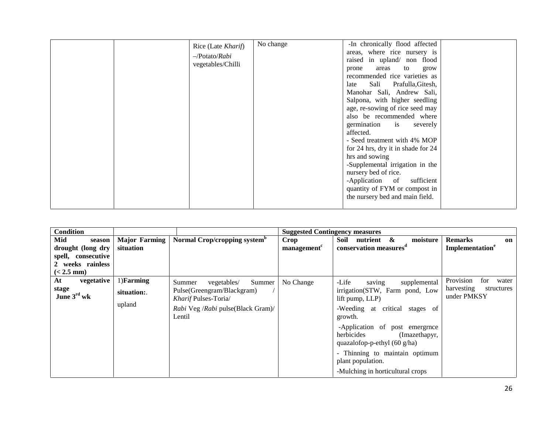|  | Rice (Late Kharif)<br>$-Potato/Rabi$<br>vegetables/Chilli | No change | -In chronically flood affected<br>areas, where rice nursery is<br>raised in upland/ non flood<br>to<br>areas<br>prone<br>grow<br>recommended rice varieties as<br>Sali Prafulla, Gitesh,<br>late<br>Manohar Sali, Andrew Sali,<br>Salpona, with higher seedling<br>age, re-sowing of rice seed may<br>also be recommended where<br>germination is severely<br>affected.<br>- Seed treatment with 4% MOP<br>for 24 hrs, dry it in shade for 24<br>hrs and sowing<br>-Supplemental irrigation in the<br>nursery bed of rice.<br>-Application of<br>sufficient<br>quantity of FYM or compost in<br>the nursery bed and main field. |
|--|-----------------------------------------------------------|-----------|---------------------------------------------------------------------------------------------------------------------------------------------------------------------------------------------------------------------------------------------------------------------------------------------------------------------------------------------------------------------------------------------------------------------------------------------------------------------------------------------------------------------------------------------------------------------------------------------------------------------------------|
|--|-----------------------------------------------------------|-----------|---------------------------------------------------------------------------------------------------------------------------------------------------------------------------------------------------------------------------------------------------------------------------------------------------------------------------------------------------------------------------------------------------------------------------------------------------------------------------------------------------------------------------------------------------------------------------------------------------------------------------------|

| <b>Condition</b>                                                                             |                                       |                                                                                                                                       | <b>Suggested Contingency measures</b> |                                                                                                                                                                                                                                                                                                                                         |                                                                      |
|----------------------------------------------------------------------------------------------|---------------------------------------|---------------------------------------------------------------------------------------------------------------------------------------|---------------------------------------|-----------------------------------------------------------------------------------------------------------------------------------------------------------------------------------------------------------------------------------------------------------------------------------------------------------------------------------------|----------------------------------------------------------------------|
| Mid<br>season<br>drought (long dry<br>spell, consecutive<br>2 weeks rainless<br>$(< 2.5$ mm) | <b>Major Farming</b><br>situation     | Normal Crop/cropping system <sup>b</sup>                                                                                              | Crop<br>management <sup>c</sup>       | Soil<br>nutrient &<br>moisture<br>conservation measures <sup>d</sup>                                                                                                                                                                                                                                                                    | <b>Remarks</b><br>on<br>Implementation <sup>e</sup>                  |
| vegetative<br>At<br>stage<br>June $3^{\text{rd}}$ wk                                         | $1)$ Farming<br>situation:.<br>upland | vegetables/<br>Summer<br>Summer<br>Pulse (Greengram/Blackgram)<br>Kharif Pulses-Toria/<br>Rabi Veg /Rabi pulse(Black Gram)/<br>Lentil | No Change                             | -Life<br>saving<br>supplemental<br>irrigation(STW, Farm pond, Low<br>lift pump, LLP)<br>-Weeding at critical stages of<br>growth.<br>-Application of post emergence<br>herbicides<br>(Imazethapyr,<br>quazalofop-p-ethyl $(60 \text{ g/ha})$<br>- Thinning to maintain optimum<br>plant population.<br>-Mulching in horticultural crops | Provision<br>for<br>water<br>harvesting<br>structures<br>under PMKSY |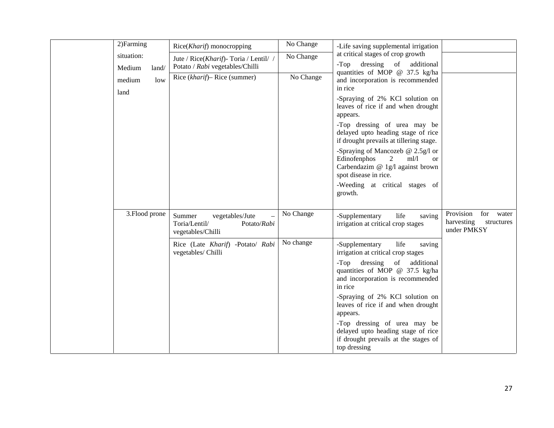| 2) Farming<br>situation:<br>Medium<br>land/<br>medium<br>low<br>land | Rice(Kharif) monocropping<br>Jute / Rice(Kharif) - Toria / Lentil/ /<br>Potato / Rabi vegetables/Chilli<br>Rice (kharif)– Rice (summer)  | No Change<br>No Change<br>No Change | -Life saving supplemental irrigation<br>at critical stages of crop growth<br>$-Top$<br>dressing of additional<br>quantities of MOP @ 37.5 kg/ha<br>and incorporation is recommended<br>in rice<br>-Spraying of 2% KCl solution on<br>leaves of rice if and when drought<br>appears.<br>-Top dressing of urea may be<br>delayed upto heading stage of rice<br>if drought prevails at tillering stage.<br>-Spraying of Mancozeb $@ 2.5g/l$ or<br>2<br>ml/l<br>Edinofenphos<br><sub>or</sub><br>Carbendazim @ 1g/l against brown<br>spot disease in rice.<br>-Weeding at critical stages of |                                                                   |
|----------------------------------------------------------------------|------------------------------------------------------------------------------------------------------------------------------------------|-------------------------------------|------------------------------------------------------------------------------------------------------------------------------------------------------------------------------------------------------------------------------------------------------------------------------------------------------------------------------------------------------------------------------------------------------------------------------------------------------------------------------------------------------------------------------------------------------------------------------------------|-------------------------------------------------------------------|
| 3. Flood prone                                                       | Summer<br>vegetables/Jute<br>Toria/Lentil/<br>Potato/Rabi<br>vegetables/Chilli<br>Rice (Late Kharif) -Potato/ Rabi<br>vegetables/ Chilli | No Change<br>No change              | growth.<br>-Supplementary<br>life<br>saving<br>irrigation at critical crop stages<br>life<br>-Supplementary<br>saving<br>irrigation at critical crop stages<br>dressing of additional<br>$-Top$<br>quantities of MOP @ 37.5 kg/ha<br>and incorporation is recommended<br>in rice<br>-Spraying of 2% KCl solution on<br>leaves of rice if and when drought<br>appears.<br>-Top dressing of urea may be<br>delayed upto heading stage of rice<br>if drought prevails at the stages of<br>top dressing                                                                                      | Provision<br>for water<br>harvesting<br>structures<br>under PMKSY |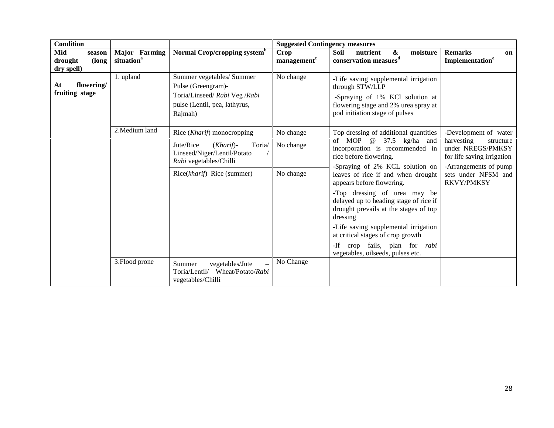| <b>Condition</b>                                |                                         |                                                                                                                              | <b>Suggested Contingency measures</b>                                                                                       |                                                                                                                                                                      |                                                                            |  |
|-------------------------------------------------|-----------------------------------------|------------------------------------------------------------------------------------------------------------------------------|-----------------------------------------------------------------------------------------------------------------------------|----------------------------------------------------------------------------------------------------------------------------------------------------------------------|----------------------------------------------------------------------------|--|
| Mid<br>season<br>(long<br>drought<br>dry spell) | Major Farming<br>situation <sup>a</sup> | Normal Crop/cropping system <sup>b</sup>                                                                                     | <b>Crop</b><br>management <sup>c</sup>                                                                                      | <b>Soil</b><br>nutrient<br>&<br>moisture<br>conservation measues <sup>d</sup>                                                                                        | <b>Remarks</b><br>on<br>Implementation <sup>e</sup>                        |  |
| flowering/<br>At<br>fruiting stage              | 1. upland                               | Summer vegetables/ Summer<br>Pulse (Greengram)-<br>Toria/Linseed/ Rabi Veg /Rabi<br>pulse (Lentil, pea, lathyrus,<br>Rajmah) | No change                                                                                                                   | -Life saving supplemental irrigation<br>through STW/LLP<br>-Spraying of 1% KCl solution at<br>flowering stage and 2% urea spray at<br>pod initiation stage of pulses |                                                                            |  |
|                                                 | 2. Medium land                          | Rice ( <i>Kharif</i> ) monocropping                                                                                          | No change                                                                                                                   | Top dressing of additional quantities                                                                                                                                | -Development of water                                                      |  |
|                                                 |                                         | Jute/Rice<br>$(Kharif)$ -<br>Toria/<br>Linseed/Niger/Lentil/Potato<br>Rabi vegetables/Chilli                                 | No change                                                                                                                   | of MOP $@$ 37.5 kg/ha and<br>incorporation is recommended in<br>rice before flowering.                                                                               | harvesting<br>structure<br>under NREGS/PMKSY<br>for life saving irrigation |  |
|                                                 |                                         | Rice(kharif)–Rice (summer)                                                                                                   | -Spraying of 2% KCL solution on<br>No change<br>leaves of rice if and when drought<br>appears before flowering.             | -Arrangements of pump<br>sets under NFSM and<br><b>RKVY/PMKSY</b>                                                                                                    |                                                                            |  |
|                                                 |                                         |                                                                                                                              | -Top dressing of urea may be<br>delayed up to heading stage of rice if<br>drought prevails at the stages of top<br>dressing |                                                                                                                                                                      |                                                                            |  |
|                                                 |                                         |                                                                                                                              | -Life saving supplemental irrigation<br>at critical stages of crop growth                                                   |                                                                                                                                                                      |                                                                            |  |
|                                                 |                                         |                                                                                                                              |                                                                                                                             | crop fails, plan for <i>rabi</i><br>$-If$<br>vegetables, oilseeds, pulses etc.                                                                                       |                                                                            |  |
|                                                 | 3. Flood prone                          | Summer<br>vegetables/Jute<br>$\overline{a}$<br>Wheat/Potato/Rabi<br>Toria/Lentil/<br>vegetables/Chilli                       | No Change                                                                                                                   |                                                                                                                                                                      |                                                                            |  |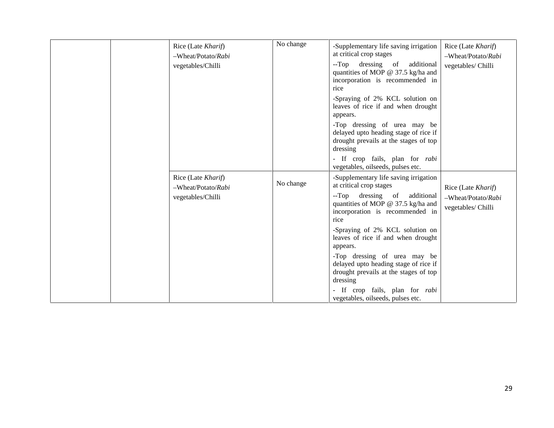|  | Rice (Late Kharif)<br>-Wheat/Potato/Rabi<br>vegetables/Chilli | No change | -Supplementary life saving irrigation<br>at critical crop stages<br>$-Top$<br>dressing of<br>additional<br>quantities of MOP @ 37.5 kg/ha and<br>incorporation is recommended in<br>rice<br>-Spraying of 2% KCL solution on<br>leaves of rice if and when drought<br>appears.<br>-Top dressing of urea may be<br>delayed upto heading stage of rice if<br>drought prevails at the stages of top<br>dressing<br>- If crop fails, plan for <i>rabi</i><br>vegetables, oilseeds, pulses etc. | Rice (Late Kharif)<br>-Wheat/Potato/Rabi<br>vegetables/ Chilli |
|--|---------------------------------------------------------------|-----------|-------------------------------------------------------------------------------------------------------------------------------------------------------------------------------------------------------------------------------------------------------------------------------------------------------------------------------------------------------------------------------------------------------------------------------------------------------------------------------------------|----------------------------------------------------------------|
|  | Rice (Late Kharif)<br>-Wheat/Potato/Rabi<br>vegetables/Chilli | No change | -Supplementary life saving irrigation<br>at critical crop stages<br>$-Top$<br>dressing of<br>additional<br>quantities of MOP @ 37.5 kg/ha and<br>incorporation is recommended in<br>rice<br>-Spraying of 2% KCL solution on<br>leaves of rice if and when drought<br>appears.<br>-Top dressing of urea may be<br>delayed upto heading stage of rice if<br>drought prevails at the stages of top<br>dressing<br>- If crop fails, plan for rabi<br>vegetables, oilseeds, pulses etc.        | Rice (Late Kharif)<br>-Wheat/Potato/Rabi<br>vegetables/ Chilli |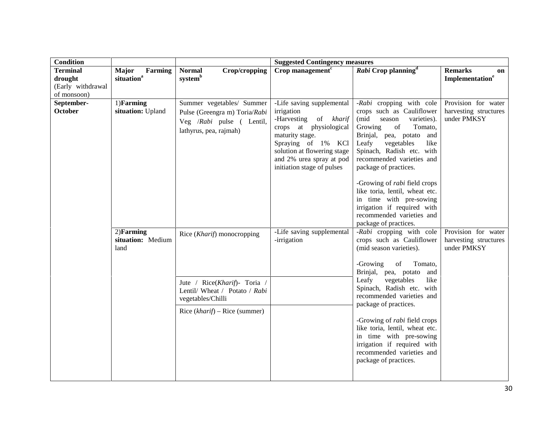| <b>Condition</b>                                               |                                            |                                                                                                                                                     | <b>Suggested Contingency measures</b>                                                                                                                                                                                        |                                                                                                                                                                                                                                                                                                                                                                                                                                                           |                                                             |
|----------------------------------------------------------------|--------------------------------------------|-----------------------------------------------------------------------------------------------------------------------------------------------------|------------------------------------------------------------------------------------------------------------------------------------------------------------------------------------------------------------------------------|-----------------------------------------------------------------------------------------------------------------------------------------------------------------------------------------------------------------------------------------------------------------------------------------------------------------------------------------------------------------------------------------------------------------------------------------------------------|-------------------------------------------------------------|
| <b>Terminal</b><br>drought<br>(Early withdrawal<br>of monsoon) | Major<br>Farming<br>situation <sup>a</sup> | <b>Normal</b><br>Crop/cropping<br>system <sup>b</sup>                                                                                               | $Crop$ management <sup><math>c</math></sup>                                                                                                                                                                                  | Rabi Crop planning <sup>d</sup>                                                                                                                                                                                                                                                                                                                                                                                                                           | <b>Remarks</b><br><b>on</b><br>Implementation <sup>e</sup>  |
| September-<br>October                                          | 1)Farming<br>situation: Upland             | Summer vegetables/ Summer<br>Pulse (Greengra m) Toria/Rabi<br>Veg /Rabi pulse ( Lentil,<br>lathyrus, pea, rajmah)                                   | -Life saving supplemental<br>irrigation<br>-Harvesting of kharif<br>crops at physiological<br>maturity stage.<br>Spraying of 1% KCl<br>solution at flowering stage<br>and 2% urea spray at pod<br>initiation stage of pulses | -Rabi cropping with cole<br>crops such as Cauliflower<br>(mid<br>varieties).<br>season<br>Growing<br>of<br>Tomato,<br>Brinjal, pea, potato and<br>Leafy<br>vegetables<br>like<br>Spinach, Radish etc. with<br>recommended varieties and<br>package of practices.<br>-Growing of <i>rabi</i> field crops<br>like toria, lentil, wheat etc.<br>in time with pre-sowing<br>irrigation if required with<br>recommended varieties and<br>package of practices. | Provision for water<br>harvesting structures<br>under PMKSY |
|                                                                | $2)$ Farming<br>situation: Medium<br>land  | Rice (Kharif) monocropping<br>Jute / Rice(Kharif)- Toria /<br>Lentil/ Wheat / Potato / Rabi<br>vegetables/Chilli<br>Rice $(kharif)$ – Rice (summer) | -Life saving supplemental<br>-irrigation                                                                                                                                                                                     | -Rabi cropping with cole<br>crops such as Cauliflower<br>(mid season varieties).<br>-Growing<br>of<br>Tomato,<br>Brinjal, pea, potato<br>and<br>Leafy<br>vegetables<br>like<br>Spinach, Radish etc. with<br>recommended varieties and<br>package of practices.<br>-Growing of <i>rabi</i> field crops<br>like toria, lentil, wheat etc.<br>in time with pre-sowing<br>irrigation if required with<br>recommended varieties and<br>package of practices.   | Provision for water<br>harvesting structures<br>under PMKSY |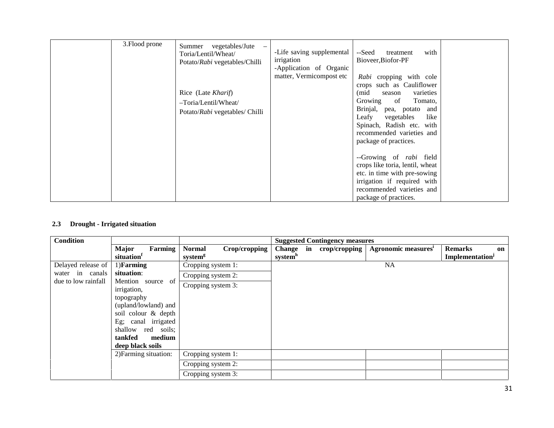| 3. Flood prone | vegetables/Jute<br>Summer<br>Toria/Lentil/Wheat/<br>Potato/Rabi vegetables/Chilli<br>Rice (Late Kharif)<br>-Toria/Lentil/Wheat/<br>Potato/Rabi vegetables/ Chilli | -Life saving supplemental<br>irrigation<br>-Application of Organic<br>matter, Vermicompost etc | --Seed<br>with<br>treatment<br>Bioveer, Biofor-PF<br>Rabi cropping with cole<br>crops such as Cauliflower<br>(mid<br>varieties<br>season<br>Growing<br>of<br>Tomato,<br>Brinjal, pea, potato and<br>Leafy<br>vegetables<br>like<br>Spinach, Radish etc. with<br>recommended varieties and<br>package of practices. |  |
|----------------|-------------------------------------------------------------------------------------------------------------------------------------------------------------------|------------------------------------------------------------------------------------------------|--------------------------------------------------------------------------------------------------------------------------------------------------------------------------------------------------------------------------------------------------------------------------------------------------------------------|--|
|                |                                                                                                                                                                   |                                                                                                | --Growing of rabi field<br>crops like toria, lentil, wheat<br>etc. in time with pre-sowing<br>irrigation if required with<br>recommended varieties and<br>package of practices.                                                                                                                                    |  |

## **2.3 Drought - Irrigated situation**

| Condition           |                                                                                                                                                                                     |                                                       | <b>Suggested Contingency measures</b>                                                                                                          |    |
|---------------------|-------------------------------------------------------------------------------------------------------------------------------------------------------------------------------------|-------------------------------------------------------|------------------------------------------------------------------------------------------------------------------------------------------------|----|
|                     | <b>Major</b><br>Farming<br>situation                                                                                                                                                | <b>Normal</b><br>Crop/cropping<br>system <sup>g</sup> | Change in<br>Agronomic measures <sup>1</sup><br>$\text{crop/cropping}$<br><b>Remarks</b><br>system <sup>h</sup><br>Implementation <sup>j</sup> | on |
| Delayed release of  | $1)$ Farming                                                                                                                                                                        | Cropping system 1:                                    | <b>NA</b>                                                                                                                                      |    |
| water in canals     | situation:                                                                                                                                                                          | Cropping system 2:                                    |                                                                                                                                                |    |
| due to low rainfall | Mention source of<br>irrigation,<br>topography<br>(upland/lowland) and<br>soil colour & depth<br>Eg; canal irrigated<br>shallow red soils;<br>tankfed<br>medium<br>deep black soils | Cropping system 3:                                    |                                                                                                                                                |    |
|                     | 2) Farming situation:                                                                                                                                                               | Cropping system 1:                                    |                                                                                                                                                |    |
|                     |                                                                                                                                                                                     | Cropping system 2:                                    |                                                                                                                                                |    |
|                     |                                                                                                                                                                                     | Cropping system 3:                                    |                                                                                                                                                |    |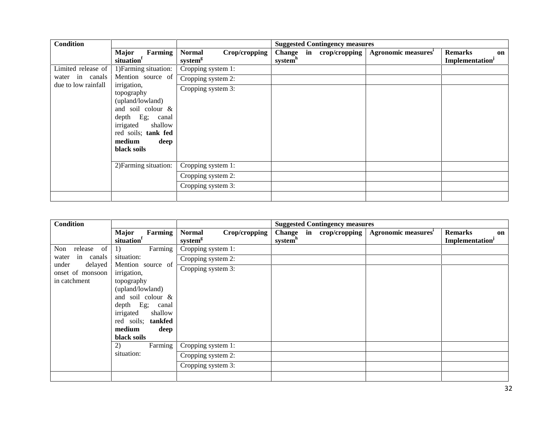| <b>Condition</b>    |                                                                                                                                                                            |                                                       | <b>Suggested Contingency measures</b>                                                                                    |    |
|---------------------|----------------------------------------------------------------------------------------------------------------------------------------------------------------------------|-------------------------------------------------------|--------------------------------------------------------------------------------------------------------------------------|----|
|                     | Farming<br><b>Major</b><br>situation <sup>1</sup>                                                                                                                          | Crop/cropping<br><b>Normal</b><br>system <sup>g</sup> | Agronomic measures <sup>i</sup><br>Change in<br>crop/cropping<br><b>Remarks</b><br>system <sup>h</sup><br>Implementation | on |
| Limited release of  | 1) Farming situation:                                                                                                                                                      | Cropping system 1:                                    |                                                                                                                          |    |
| water in canals     | Mention source of                                                                                                                                                          | Cropping system 2:                                    |                                                                                                                          |    |
| due to low rainfall | irrigation,<br>topography<br>(upland/lowland)<br>and soil colour &<br>$depth$ Eg;<br>canal<br>shallow<br>irrigated<br>red soils; tank fed<br>medium<br>deep<br>black soils | Cropping system 3:                                    |                                                                                                                          |    |
|                     | 2) Farming situation:                                                                                                                                                      | Cropping system 1:                                    |                                                                                                                          |    |
|                     |                                                                                                                                                                            | Cropping system 2:                                    |                                                                                                                          |    |
|                     |                                                                                                                                                                            | Cropping system 3:                                    |                                                                                                                          |    |
|                     |                                                                                                                                                                            |                                                       |                                                                                                                          |    |

| <b>Condition</b>                     |                                      |                                                       | <b>Suggested Contingency measures</b>          |                                 |                                                     |
|--------------------------------------|--------------------------------------|-------------------------------------------------------|------------------------------------------------|---------------------------------|-----------------------------------------------------|
|                                      | Farming<br><b>Major</b><br>situation | Crop/cropping<br><b>Normal</b><br>system <sup>g</sup> | Change in crop/cropping<br>system <sup>h</sup> | Agronomic measures <sup>1</sup> | <b>Remarks</b><br>on<br>Implementation <sup>j</sup> |
| release of<br>Non                    | Farming<br><sup>1</sup>              | Cropping system 1:                                    |                                                |                                 |                                                     |
| canals<br>in<br>water                | situation:                           | Cropping system 2:                                    |                                                |                                 |                                                     |
| under<br>delayed<br>onset of monsoon | Mention source of<br>irrigation,     | Cropping system 3:                                    |                                                |                                 |                                                     |
| in catchment                         | topography                           |                                                       |                                                |                                 |                                                     |
|                                      | (upland/lowland)                     |                                                       |                                                |                                 |                                                     |
|                                      | and soil colour &                    |                                                       |                                                |                                 |                                                     |
|                                      | $depth$ Eg;<br>canal                 |                                                       |                                                |                                 |                                                     |
|                                      | shallow<br>irrigated                 |                                                       |                                                |                                 |                                                     |
|                                      | tankfed<br>red soils;                |                                                       |                                                |                                 |                                                     |
|                                      | medium<br>deep                       |                                                       |                                                |                                 |                                                     |
|                                      | black soils                          |                                                       |                                                |                                 |                                                     |
|                                      | Farming<br>2)                        | Cropping system 1:                                    |                                                |                                 |                                                     |
|                                      | situation:                           | Cropping system 2:                                    |                                                |                                 |                                                     |
|                                      |                                      | Cropping system 3:                                    |                                                |                                 |                                                     |
|                                      |                                      |                                                       |                                                |                                 |                                                     |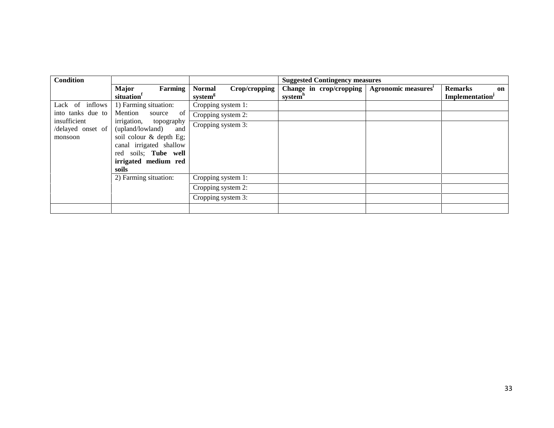| <b>Condition</b>                                                  |                                                                                                                                                                                 |                                                       | <b>Suggested Contingency measures</b>                                             |                                                            |
|-------------------------------------------------------------------|---------------------------------------------------------------------------------------------------------------------------------------------------------------------------------|-------------------------------------------------------|-----------------------------------------------------------------------------------|------------------------------------------------------------|
|                                                                   | <b>Major</b><br>Farming<br>situation                                                                                                                                            | <b>Normal</b><br>Crop/cropping<br>system <sup>g</sup> | Agronomic measures <sup>1</sup><br>Change in crop/cropping<br>system <sup>h</sup> | <b>Remarks</b><br>on<br><b>Implementation</b> <sup>j</sup> |
| Lack of inflows                                                   | 1) Farming situation:                                                                                                                                                           | Cropping system 1:                                    |                                                                                   |                                                            |
| into tanks due to<br>insufficient<br>/delayed onset of<br>monsoon | Mention<br>source of<br>irrigation, topography<br>(upland/lowland)<br>and<br>soil colour & depth Eg;<br>canal irrigated shallow<br>red soils; Tube well<br>irrigated medium red | Cropping system 2:<br>Cropping system 3:              |                                                                                   |                                                            |
|                                                                   | soils<br>2) Farming situation:                                                                                                                                                  | Cropping system 1:                                    |                                                                                   |                                                            |
|                                                                   |                                                                                                                                                                                 | Cropping system 2:                                    |                                                                                   |                                                            |
|                                                                   |                                                                                                                                                                                 | Cropping system 3:                                    |                                                                                   |                                                            |
|                                                                   |                                                                                                                                                                                 |                                                       |                                                                                   |                                                            |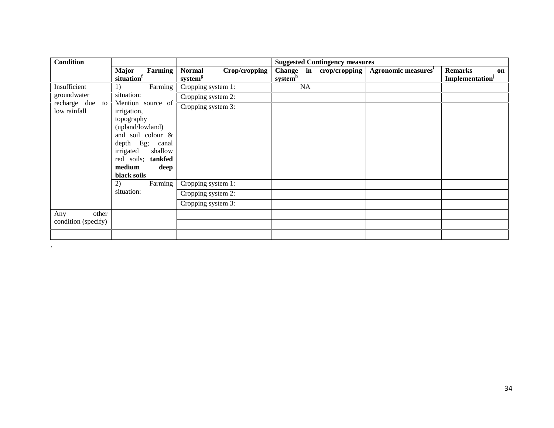| <b>Condition</b>                    |                                                |                                                       | <b>Suggested Contingency measures</b> |                                                                                        |
|-------------------------------------|------------------------------------------------|-------------------------------------------------------|---------------------------------------|----------------------------------------------------------------------------------------|
|                                     | <b>Major</b><br>Farming<br>situation           | <b>Normal</b><br>Crop/cropping<br>system <sup>g</sup> | Change in crop/cropping<br>systemh    | Agronomic measures <sup>i</sup><br><b>Remarks</b><br>on<br>Implementation <sup>j</sup> |
| Insufficient                        | Farming<br>1)                                  | Cropping system 1:                                    | NA                                    |                                                                                        |
| groundwater                         | situation:                                     | Cropping system 2:                                    |                                       |                                                                                        |
| recharge due to<br>low rainfall     | Mention source of<br>irrigation,<br>topography | Cropping system 3:                                    |                                       |                                                                                        |
|                                     | (upland/lowland)                               |                                                       |                                       |                                                                                        |
|                                     | and soil colour &                              |                                                       |                                       |                                                                                        |
|                                     | $depth$ Eg;<br>canal                           |                                                       |                                       |                                                                                        |
|                                     | shallow<br>irrigated                           |                                                       |                                       |                                                                                        |
|                                     | red soils; tankfed                             |                                                       |                                       |                                                                                        |
|                                     | medium<br>deep<br>black soils                  |                                                       |                                       |                                                                                        |
|                                     | Farming<br>2)                                  | Cropping system 1:                                    |                                       |                                                                                        |
|                                     | situation:                                     | Cropping system 2:                                    |                                       |                                                                                        |
|                                     |                                                | Cropping system 3:                                    |                                       |                                                                                        |
| other<br>Any<br>condition (specify) |                                                |                                                       |                                       |                                                                                        |
|                                     |                                                |                                                       |                                       |                                                                                        |

 $\mathcal{L}(\mathcal{L}(\mathcal{L}(\mathcal{L}(\mathcal{L}(\mathcal{L}(\mathcal{L}(\mathcal{L}(\mathcal{L}(\mathcal{L}(\mathcal{L}(\mathcal{L}(\mathcal{L}(\mathcal{L}(\mathcal{L}(\mathcal{L}(\mathcal{L}(\mathcal{L}(\mathcal{L}(\mathcal{L}(\mathcal{L}(\mathcal{L}(\mathcal{L}(\mathcal{L}(\mathcal{L}(\mathcal{L}(\mathcal{L}(\mathcal{L}(\mathcal{L}(\mathcal{L}(\mathcal{L}(\mathcal{L}(\mathcal{L}(\mathcal{L}(\mathcal{L}(\mathcal{L}(\mathcal{$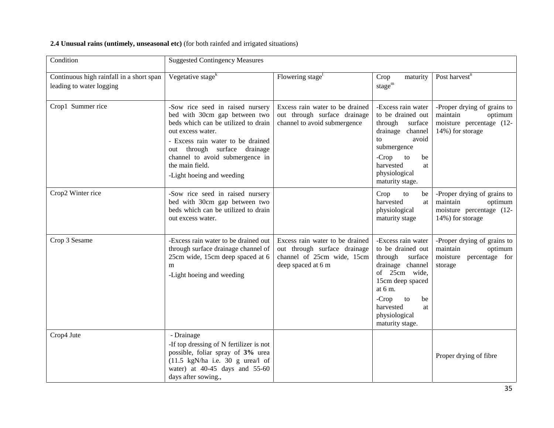| 2.4 Unusual rains (untimely, unseasonal etc) (for both rainfed and irrigated situations) |  |
|------------------------------------------------------------------------------------------|--|
|------------------------------------------------------------------------------------------|--|

| Condition                                                            | <b>Suggested Contingency Measures</b>                                                                                                                                                                                                                                                 |                                                                                                                     |                                                                                                                                                                                                                   |                                                                                                    |
|----------------------------------------------------------------------|---------------------------------------------------------------------------------------------------------------------------------------------------------------------------------------------------------------------------------------------------------------------------------------|---------------------------------------------------------------------------------------------------------------------|-------------------------------------------------------------------------------------------------------------------------------------------------------------------------------------------------------------------|----------------------------------------------------------------------------------------------------|
| Continuous high rainfall in a short span<br>leading to water logging | Vegetative stage <sup>k</sup>                                                                                                                                                                                                                                                         | Flowering stage <sup>1</sup>                                                                                        | Crop<br>maturity<br>$stage^m$                                                                                                                                                                                     | Post harvest <sup>n</sup>                                                                          |
| Crop1 Summer rice                                                    | -Sow rice seed in raised nursery<br>bed with 30cm gap between two<br>beds which can be utilized to drain<br>out excess water.<br>- Excess rain water to be drained<br>out through surface drainage<br>channel to avoid submergence in<br>the main field.<br>-Light hoeing and weeding | Excess rain water to be drained<br>out through surface drainage<br>channel to avoid submergence                     | -Excess rain water<br>to be drained out<br>through<br>surface<br>drainage channel<br>avoid<br>to<br>submergence<br>to<br>$-Crop$<br>be<br>harvested<br>at<br>physiological<br>maturity stage.                     | -Proper drying of grains to<br>maintain<br>optimum<br>moisture percentage (12-<br>14%) for storage |
| Crop2 Winter rice                                                    | -Sow rice seed in raised nursery<br>bed with 30cm gap between two<br>beds which can be utilized to drain<br>out excess water.                                                                                                                                                         |                                                                                                                     | Crop<br>to<br>be<br>harvested<br>at<br>physiological<br>maturity stage                                                                                                                                            | -Proper drying of grains to<br>maintain<br>optimum<br>moisture percentage (12-<br>14%) for storage |
| Crop 3 Sesame                                                        | -Excess rain water to be drained out<br>through surface drainage channel of<br>25cm wide, 15cm deep spaced at 6<br>m<br>-Light hoeing and weeding                                                                                                                                     | Excess rain water to be drained<br>out through surface drainage<br>channel of 25cm wide, 15cm<br>deep spaced at 6 m | -Excess rain water<br>to be drained out<br>through<br>surface<br>drainage channel<br>of 25cm wide,<br>15cm deep spaced<br>at $6m$ .<br>$-Crop$<br>to<br>be<br>harvested<br>at<br>physiological<br>maturity stage. | -Proper drying of grains to<br>maintain<br>optimum<br>moisture<br>percentage for<br>storage        |
| Crop4 Jute                                                           | - Drainage<br>-If top dressing of N fertilizer is not<br>possible, foliar spray of 3% urea<br>$(11.5 \text{ kgN/ha i.e. } 30 \text{ g } \text{ urea/l of }$<br>water) at 40-45 days and 55-60<br>days after sowing.,                                                                  |                                                                                                                     |                                                                                                                                                                                                                   | Proper drying of fibre                                                                             |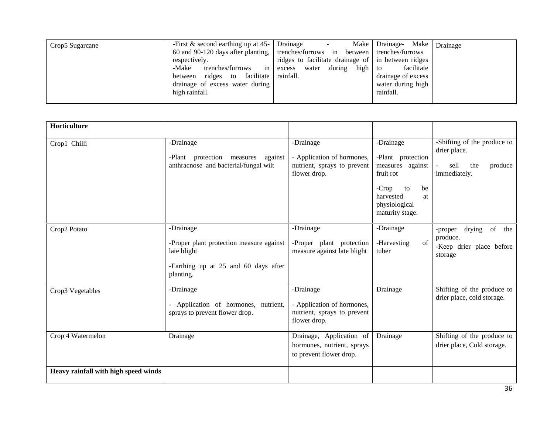| Crop5 Sugarcane | -First $\&$ second earthing up at 45-<br>60 and 90-120 days after planting, trenches/furrows in between trenches/furrows<br>respectively.<br>$\frac{1}{2}$ in $\frac{1}{2}$<br>-Make<br>trenches/furrows<br>between ridges to facilitate<br>drainage of excess water during<br>high rainfall. | Drainage<br>$\overline{\phantom{a}}$<br>ridges to facilitate drainage of in between ridges<br>water during high to<br>excess<br>rainfall. | Make   Drainage- Make   Drainage<br>facilitate<br>drainage of excess<br>water during high<br>rainfall. |  |
|-----------------|-----------------------------------------------------------------------------------------------------------------------------------------------------------------------------------------------------------------------------------------------------------------------------------------------|-------------------------------------------------------------------------------------------------------------------------------------------|--------------------------------------------------------------------------------------------------------|--|
|-----------------|-----------------------------------------------------------------------------------------------------------------------------------------------------------------------------------------------------------------------------------------------------------------------------------------------|-------------------------------------------------------------------------------------------------------------------------------------------|--------------------------------------------------------------------------------------------------------|--|

| Horticulture                         |                                                                                                                           |                                                                                        |                                                                                                                                               |                                                                                       |
|--------------------------------------|---------------------------------------------------------------------------------------------------------------------------|----------------------------------------------------------------------------------------|-----------------------------------------------------------------------------------------------------------------------------------------------|---------------------------------------------------------------------------------------|
| Crop1 Chilli                         | -Drainage<br>-Plant protection measures<br>against<br>anthracnose and bacterial/fungal wilt                               | -Drainage<br>- Application of hormones,<br>nutrient, sprays to prevent<br>flower drop. | -Drainage<br>-Plant protection<br>measures against<br>fruit rot<br>$-Crop$<br>be<br>to<br>harvested<br>at<br>physiological<br>maturity stage. | -Shifting of the produce to<br>drier place.<br>sell<br>the<br>produce<br>immediately. |
| Crop2 Potato                         | -Drainage<br>-Proper plant protection measure against<br>late blight<br>-Earthing up at 25 and 60 days after<br>planting. | -Drainage<br>-Proper plant protection<br>measure against late blight                   | -Drainage<br>of<br>-Harvesting<br>tuber                                                                                                       | drying of the<br>-proper<br>produce.<br>-Keep drier place before<br>storage           |
| Crop3 Vegetables                     | -Drainage<br>- Application of hormones, nutrient,<br>sprays to prevent flower drop.                                       | -Drainage<br>- Application of hormones,<br>nutrient, sprays to prevent<br>flower drop. | Drainage                                                                                                                                      | Shifting of the produce to<br>drier place, cold storage.                              |
| Crop 4 Watermelon                    | Drainage                                                                                                                  | Drainage, Application of<br>hormones, nutrient, sprays<br>to prevent flower drop.      | Drainage                                                                                                                                      | Shifting of the produce to<br>drier place, Cold storage.                              |
| Heavy rainfall with high speed winds |                                                                                                                           |                                                                                        |                                                                                                                                               |                                                                                       |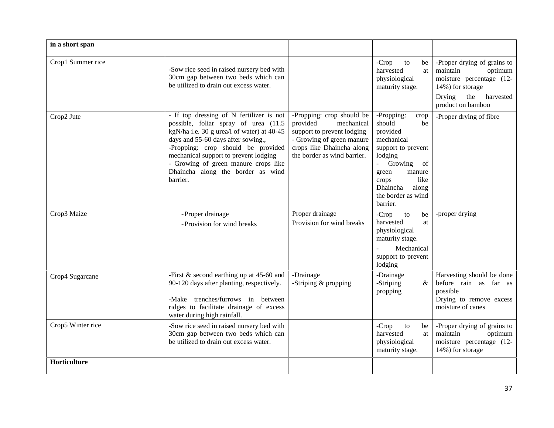| in a short span   |                                                                                                                                                                                                                                                                                                                                              |                                                                                                                                                                            |                                                                                                                                                                                                                                        |                                                                                                                                                       |
|-------------------|----------------------------------------------------------------------------------------------------------------------------------------------------------------------------------------------------------------------------------------------------------------------------------------------------------------------------------------------|----------------------------------------------------------------------------------------------------------------------------------------------------------------------------|----------------------------------------------------------------------------------------------------------------------------------------------------------------------------------------------------------------------------------------|-------------------------------------------------------------------------------------------------------------------------------------------------------|
| Crop1 Summer rice | -Sow rice seed in raised nursery bed with<br>30cm gap between two beds which can<br>be utilized to drain out excess water.                                                                                                                                                                                                                   |                                                                                                                                                                            | $-Crop$<br>to<br>be<br>harvested<br>at<br>physiological<br>maturity stage.                                                                                                                                                             | -Proper drying of grains to<br>maintain<br>optimum<br>moisture percentage (12-<br>14%) for storage<br>Drying<br>the<br>harvested<br>product on bamboo |
| Crop2 Jute        | - If top dressing of N fertilizer is not<br>possible, foliar spray of urea (11.5<br>kgN/ha i.e. 30 g urea/l of water) at 40-45<br>days and 55-60 days after sowing.,<br>-Propping: crop should be provided<br>mechanical support to prevent lodging<br>- Growing of green manure crops like<br>Dhaincha along the border as wind<br>barrier. | -Propping: crop should be<br>provided<br>mechanical<br>support to prevent lodging<br>- Growing of green manure<br>crops like Dhaincha along<br>the border as wind barrier. | -Propping:<br>crop<br>should<br>be<br>provided<br>mechanical<br>support to prevent<br>lodging<br>Growing<br>$\mathbf{L}^{\text{max}}$<br>of<br>green<br>manure<br>like<br>crops<br>Dhaincha<br>along<br>the border as wind<br>barrier. | -Proper drying of fibre                                                                                                                               |
| Crop3 Maize       | - Proper drainage<br>- Provision for wind breaks                                                                                                                                                                                                                                                                                             | Proper drainage<br>Provision for wind breaks                                                                                                                               | $-Crop$<br>to<br>be<br>harvested<br>at<br>physiological<br>maturity stage.<br>Mechanical<br>support to prevent<br>lodging                                                                                                              | -proper drying                                                                                                                                        |
| Crop4 Sugarcane   | -First $&$ second earthing up at 45-60 and<br>90-120 days after planting, respectively.<br>-Make trenches/furrows in between<br>ridges to facilitate drainage of excess<br>water during high rainfall.                                                                                                                                       | -Drainage<br>-Striping & propping                                                                                                                                          | -Drainage<br>-Striping<br>$\&$<br>propping                                                                                                                                                                                             | Harvesting should be done<br>before rain as far as<br>possible<br>Drying to remove excess<br>moisture of canes                                        |
| Crop5 Winter rice | -Sow rice seed in raised nursery bed with<br>30cm gap between two beds which can<br>be utilized to drain out excess water.                                                                                                                                                                                                                   |                                                                                                                                                                            | -Crop<br>to<br>be<br>harvested<br>at<br>physiological<br>maturity stage.                                                                                                                                                               | -Proper drying of grains to<br>maintain<br>optimum<br>moisture percentage (12-<br>14%) for storage                                                    |
| Horticulture      |                                                                                                                                                                                                                                                                                                                                              |                                                                                                                                                                            |                                                                                                                                                                                                                                        |                                                                                                                                                       |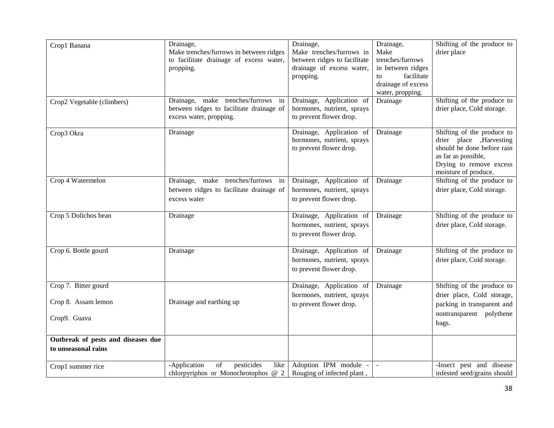| Crop1 Banana                                                | Drainage,<br>Make trenches/furrows in between ridges<br>to facilitate drainage of excess water,<br>propping. | Drainage,<br>Make trenches/furrows in<br>between ridges to facilitate<br>drainage of excess water,<br>propping. | Drainage,<br>Make<br>trenches/furrows<br>in between ridges<br>facilitate<br>to<br>drainage of excess<br>water, propping. | Shifting of the produce to<br>drier place                                                                                                                      |
|-------------------------------------------------------------|--------------------------------------------------------------------------------------------------------------|-----------------------------------------------------------------------------------------------------------------|--------------------------------------------------------------------------------------------------------------------------|----------------------------------------------------------------------------------------------------------------------------------------------------------------|
| Crop2 Vegetable (climbers)                                  | Drainage, make trenches/furrows in<br>between ridges to facilitate drainage of<br>excess water, propping.    | Drainage, Application of<br>hormones, nutrient, sprays<br>to prevent flower drop.                               | Drainage                                                                                                                 | Shifting of the produce to<br>drier place, Cold storage.                                                                                                       |
| Crop3 Okra                                                  | Drainage                                                                                                     | Drainage, Application of<br>hormones, nutrient, sprays<br>to prevent flower drop.                               | Drainage                                                                                                                 | Shifting of the produce to<br>drier place , Harvesting<br>should be done before rain<br>as far as possible,<br>Drying to remove excess<br>moisture of produce. |
| Crop 4 Watermelon                                           | Drainage, make trenches/furrows in<br>between ridges to facilitate drainage of<br>excess water               | Drainage, Application of<br>hormones, nutrient, sprays<br>to prevent flower drop.                               | Drainage                                                                                                                 | Shifting of the produce to<br>drier place, Cold storage.                                                                                                       |
| Crop 5 Dolichos bean                                        | Drainage                                                                                                     | Drainage, Application of<br>hormones, nutrient, sprays<br>to prevent flower drop.                               | Drainage                                                                                                                 | Shifting of the produce to<br>drier place, Cold storage.                                                                                                       |
| Crop 6. Bottle gourd                                        | Drainage                                                                                                     | Drainage, Application of<br>hormones, nutrient, sprays<br>to prevent flower drop.                               | Drainage                                                                                                                 | Shifting of the produce to<br>drier place, Cold storage.                                                                                                       |
| Crop 7. Bitter gourd<br>Crop 8. Assam lemon<br>Crop9. Guava | Drainage and earthing up                                                                                     | Drainage, Application of<br>hormones, nutrient, sprays<br>to prevent flower drop.                               | Drainage                                                                                                                 | Shifting of the produce to<br>drier place, Cold storage,<br>packing in transparent and<br>nontransparent polythene<br>bags.                                    |
| Outbreak of pests and diseases due<br>to unseasonal rains   |                                                                                                              |                                                                                                                 |                                                                                                                          |                                                                                                                                                                |
| Crop1 summer rice                                           | pesticides<br>$_{\mathrm{of}}$<br>-Application<br>like<br>chlorpyriphos or Monochrotophos @ 2                | Adoption IPM module -<br>Rouging of infected plant,                                                             | $\blacksquare$                                                                                                           | -Insect pest and disease<br>infested seed/grains should                                                                                                        |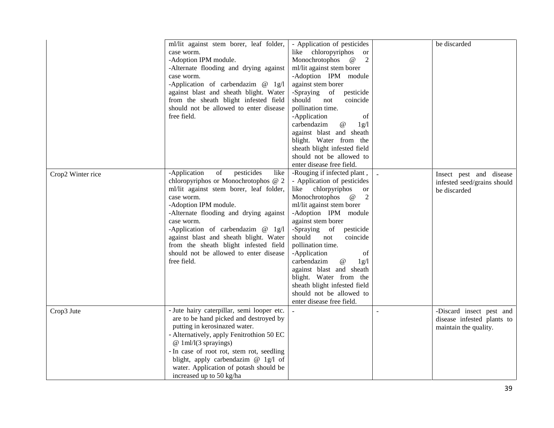|                   | ml/lit against stem borer, leaf folder,<br>case worm.<br>-Adoption IPM module.<br>-Alternate flooding and drying against<br>case worm.<br>-Application of carbendazim @ 1g/l<br>against blast and sheath blight. Water<br>from the sheath blight infested field<br>should not be allowed to enter disease<br>free field.                                                                                                | - Application of pesticides<br>like chloropyriphos<br><sub>or</sub><br>Monochrotophos<br>2<br>$^{\,a}$<br>ml/lit against stem borer<br>-Adoption IPM module<br>against stem borer<br>-Spraying of<br>pesticide<br>should<br>not<br>coincide<br>pollination time.<br>-Application<br>of<br>carbendazim<br>@<br>1g/l<br>against blast and sheath<br>blight. Water from the<br>sheath blight infested field<br>should not be allowed to<br>enter disease free field.                                                      | be discarded                                                                    |
|-------------------|-------------------------------------------------------------------------------------------------------------------------------------------------------------------------------------------------------------------------------------------------------------------------------------------------------------------------------------------------------------------------------------------------------------------------|------------------------------------------------------------------------------------------------------------------------------------------------------------------------------------------------------------------------------------------------------------------------------------------------------------------------------------------------------------------------------------------------------------------------------------------------------------------------------------------------------------------------|---------------------------------------------------------------------------------|
| Crop2 Winter rice | $\mathrm{of}$<br>pesticides<br>-Application<br>like<br>chloropyriphos or Monochrotophos @ 2<br>ml/lit against stem borer, leaf folder,<br>case worm.<br>-Adoption IPM module.<br>-Alternate flooding and drying against<br>case worm.<br>-Application of carbendazim @ 1g/l<br>against blast and sheath blight. Water<br>from the sheath blight infested field<br>should not be allowed to enter disease<br>free field. | -Rouging if infected plant,<br>- Application of pesticides<br>chlorpyriphos<br>like<br><b>or</b><br>Monochrotophos<br>$^{\,a}$<br>2<br>ml/lit against stem borer<br>-Adoption IPM module<br>against stem borer<br>-Spraying of<br>pesticide<br>should<br>not<br>coincide<br>pollination time.<br>-Application<br>of<br>carbendazim<br>$^\text{\textregistered}$<br>1g/l<br>against blast and sheath<br>blight. Water from the<br>sheath blight infested field<br>should not be allowed to<br>enter disease free field. | Insect pest and disease<br>infested seed/grains should<br>be discarded          |
| Crop3 Jute        | - Jute hairy caterpillar, semi looper etc.<br>are to be hand picked and destroyed by<br>putting in kerosinazed water.<br>- Alternatively, apply Fenitrothion 50 EC<br>$@1m1/1(3$ sprayings)<br>- In case of root rot, stem rot, seedling<br>blight, apply carbendazim @ 1g/l of<br>water. Application of potash should be<br>increased up to 50 kg/ha                                                                   |                                                                                                                                                                                                                                                                                                                                                                                                                                                                                                                        | -Discard insect pest and<br>disease infested plants to<br>maintain the quality. |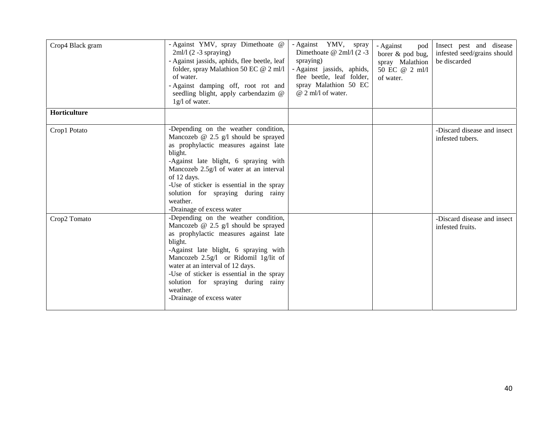| Crop4 Black gram | - Against YMV, spray Dimethoate @<br>$2ml/1(2-3$ spraying)<br>- Against jassids, aphids, flee beetle, leaf<br>folder, spray Malathion 50 EC $@$ 2 ml/l<br>of water.<br>- Against damping off, root rot and<br>seedling blight, apply carbendazim @<br>1g/l of water.                                                                                                                | - Against YMV, spray<br>Dimethoate @ 2ml/l (2-3<br>spraying)<br>- Against jassids, aphids,<br>flee beetle, leaf folder,<br>spray Malathion 50 EC<br>$@$ 2 ml/l of water. | - Against<br>pod<br>borer & pod bug,<br>spray Malathion<br>50 EC @ 2 ml/l<br>of water. | Insect pest and disease<br>infested seed/grains should<br>be discarded |
|------------------|-------------------------------------------------------------------------------------------------------------------------------------------------------------------------------------------------------------------------------------------------------------------------------------------------------------------------------------------------------------------------------------|--------------------------------------------------------------------------------------------------------------------------------------------------------------------------|----------------------------------------------------------------------------------------|------------------------------------------------------------------------|
| Horticulture     |                                                                                                                                                                                                                                                                                                                                                                                     |                                                                                                                                                                          |                                                                                        |                                                                        |
| Crop1 Potato     | -Depending on the weather condition,<br>Mancozeb $@$ 2.5 $g/l$ should be sprayed<br>as prophylactic measures against late<br>blight.<br>-Against late blight, 6 spraying with<br>Mancozeb 2.5g/l of water at an interval<br>of 12 days.<br>-Use of sticker is essential in the spray<br>solution for spraying during rainy<br>weather.<br>-Drainage of excess water                 |                                                                                                                                                                          |                                                                                        | -Discard disease and insect<br>infested tubers.                        |
| Crop2 Tomato     | -Depending on the weather condition,<br>Mancozeb $@$ 2.5 g/l should be sprayed<br>as prophylactic measures against late<br>blight.<br>-Against late blight, 6 spraying with<br>Mancozeb 2.5g/l or Ridomil 1g/lit of<br>water at an interval of 12 days.<br>-Use of sticker is essential in the spray<br>solution for spraying during rainy<br>weather.<br>-Drainage of excess water |                                                                                                                                                                          |                                                                                        | -Discard disease and insect<br>infested fruits.                        |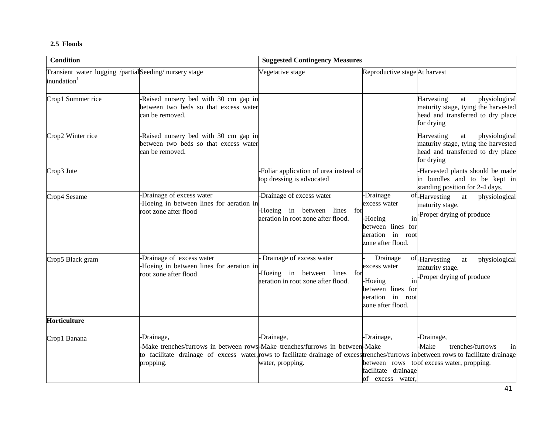## **2.5 Floods**

| <b>Condition</b>                                                                   |                                                                                                                                                                                                                                                  | <b>Suggested Contingency Measures</b>                                                           |                                                                                                                |                                                                                                                                              |  |
|------------------------------------------------------------------------------------|--------------------------------------------------------------------------------------------------------------------------------------------------------------------------------------------------------------------------------------------------|-------------------------------------------------------------------------------------------------|----------------------------------------------------------------------------------------------------------------|----------------------------------------------------------------------------------------------------------------------------------------------|--|
| Transient water logging /partial Seeding/ nursery stage<br>inundation <sup>1</sup> |                                                                                                                                                                                                                                                  | Vegetative stage                                                                                | Reproductive stage At harvest                                                                                  |                                                                                                                                              |  |
| Crop1 Summer rice                                                                  | -Raised nursery bed with 30 cm gap in<br>between two beds so that excess water<br>can be removed.                                                                                                                                                |                                                                                                 |                                                                                                                | physiological<br>Harvesting<br>at<br>maturity stage, tying the harvested<br>head and transferred to dry place<br>for drying                  |  |
| Crop2 Winter rice                                                                  | -Raised nursery bed with 30 cm gap in<br>between two beds so that excess water<br>can be removed.                                                                                                                                                |                                                                                                 |                                                                                                                | Harvesting<br>$\operatorname{at}$<br>physiological<br>maturity stage, tying the harvested<br>head and transferred to dry place<br>for drying |  |
| Crop3 Jute                                                                         |                                                                                                                                                                                                                                                  | Foliar application of urea instead of<br>top dressing is advocated                              |                                                                                                                | -Harvested plants should be made<br>in bundles and to be kept in<br>standing position for 2-4 days.                                          |  |
| Crop4 Sesame                                                                       | -Drainage of excess water<br>-Hoeing in between lines for aeration in<br>root zone after flood                                                                                                                                                   | -Drainage of excess water<br>-Hoeing in between lines for<br>aeration in root zone after flood. | -Drainage<br>excess water<br>in<br>-Hoeing<br>between lines for<br>in<br>aeration<br>root<br>zone after flood. | of-Harvesting<br>at<br>physiological<br>maturity stage.<br>-Proper drying of produce                                                         |  |
| Crop5 Black gram                                                                   | -Drainage of excess water<br>-Hoeing in between lines for aeration in<br>root zone after flood                                                                                                                                                   | Drainage of excess water<br>Hoeing in between lines for<br>aeration in root zone after flood.   | Drainage<br>excess water<br>-Hoeing<br>in<br>between lines for<br>aeration in<br>root<br>zone after flood.     | of-Harvesting<br>physiological<br>$\,$ at<br>maturity stage.<br>-Proper drying of produce                                                    |  |
| Horticulture                                                                       |                                                                                                                                                                                                                                                  |                                                                                                 |                                                                                                                |                                                                                                                                              |  |
| Crop1 Banana                                                                       | -Drainage,<br>-Make trenches/furrows in between rows-Make trenches/furrows in between-Make<br>to facilitate drainage of excess water, rows to facilitate drainage of excess trenches/furrows in between rows to facilitate drainage<br>propping. | -Drainage,<br>water, propping.                                                                  | -Drainage,<br>facilitate drainage<br>of excess water,                                                          | -Drainage,<br>-Make<br>trenches/furrows<br>in<br>between rows to of excess water, propping.                                                  |  |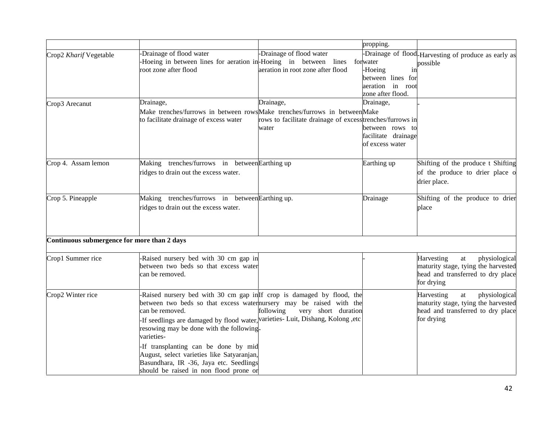|                                             |                                                                                                                                                                                                                                                                                                                                                                                                                                                                                         |                                                                                 | propping.                                                                   |                                                                                                                                       |
|---------------------------------------------|-----------------------------------------------------------------------------------------------------------------------------------------------------------------------------------------------------------------------------------------------------------------------------------------------------------------------------------------------------------------------------------------------------------------------------------------------------------------------------------------|---------------------------------------------------------------------------------|-----------------------------------------------------------------------------|---------------------------------------------------------------------------------------------------------------------------------------|
| Crop2 Kharif Vegetable                      | Drainage of flood water<br>Hoeing in between lines for aeration in-Hoeing in between<br>root zone after flood                                                                                                                                                                                                                                                                                                                                                                           | -Drainage of flood water<br>lines forwater<br>aeration in root zone after flood | -Hoeing<br>1n<br>between lines for<br>aeration in root<br>zone after flood. | -Drainage of flood-Harvesting of produce as early as<br>possible                                                                      |
| Crop3 Arecanut                              | Drainage,<br>Make trenches/furrows in between rowsMake trenches/furrows in betweenMake<br>to facilitate drainage of excess water                                                                                                                                                                                                                                                                                                                                                        | Drainage,<br>rows to facilitate drainage of excess trenches/furrows in<br>water | Drainage,<br>between rows to<br>facilitate drainage<br>of excess water      |                                                                                                                                       |
| Crop 4. Assam lemon                         | Making trenches/furrows in betweenEarthing up<br>ridges to drain out the excess water.                                                                                                                                                                                                                                                                                                                                                                                                  |                                                                                 | Earthing up                                                                 | Shifting of the produce t Shifting<br>of the produce to drier place o<br>drier place.                                                 |
| Crop 5. Pineapple                           | Making trenches/furrows in between Earthing up.<br>ridges to drain out the excess water.                                                                                                                                                                                                                                                                                                                                                                                                |                                                                                 | Drainage                                                                    | Shifting of the produce to drier<br>place                                                                                             |
| Continuous submergence for more than 2 days |                                                                                                                                                                                                                                                                                                                                                                                                                                                                                         |                                                                                 |                                                                             |                                                                                                                                       |
| Crop1 Summer rice                           | -Raised nursery bed with 30 cm gap in<br>between two beds so that excess water<br>can be removed.                                                                                                                                                                                                                                                                                                                                                                                       |                                                                                 |                                                                             | Harvesting<br>physiological<br>$\,$ at $\,$<br>maturity stage, tying the harvested<br>head and transferred to dry place<br>for drying |
| Crop2 Winter rice                           | Raised nursery bed with 30 cm gap in If crop is damaged by flood, the<br>between two beds so that excess waternursery may be raised with the<br>can be removed.<br>-If seedlings are damaged by flood water, varieties- Luit, Dishang, Kolong , etc<br>resowing may be done with the following.<br>varieties-<br>If transplanting can be done by mid<br>August, select varieties like Satyaranjan,<br>Basundhara, IR -36, Jaya etc. Seedlings<br>should be raised in non flood prone or | following<br>very short duration                                                |                                                                             | physiological<br>Harvesting<br>at<br>maturity stage, tying the harvested<br>head and transferred to dry place<br>for drying           |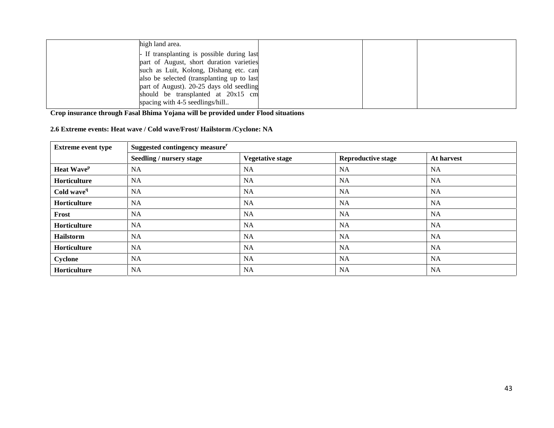| high land area.                            |  |  |
|--------------------------------------------|--|--|
| - If transplanting is possible during last |  |  |
| part of August, short duration varieties   |  |  |
| such as Luit, Kolong, Dishang etc. can     |  |  |
| also be selected (transplanting up to last |  |  |
| part of August). 20-25 days old seedling   |  |  |
| should be transplanted at 20x15 cm         |  |  |
| spacing with 4-5 seedlings/hill            |  |  |

**Crop insurance through Fasal Bhima Yojana will be provided under Flood situations**

**2.6 Extreme events: Heat wave / Cold wave/Frost/ Hailstorm /Cyclone: NA**

| <b>Extreme event type</b> | Suggested contingency measure <sup>r</sup> |                         |                           |            |
|---------------------------|--------------------------------------------|-------------------------|---------------------------|------------|
|                           | Seedling / nursery stage                   | <b>Vegetative stage</b> | <b>Reproductive stage</b> | At harvest |
| Heat Wave <sup>p</sup>    | <b>NA</b>                                  | NA                      | <b>NA</b>                 | <b>NA</b>  |
| Horticulture              | NA                                         | NA                      | NA                        | NA         |
| Cold wave <sup>q</sup>    | NA                                         | NA                      | <b>NA</b>                 | <b>NA</b>  |
| Horticulture              | NA                                         | NA                      | <b>NA</b>                 | NA         |
| Frost                     | NA                                         | NA                      | <b>NA</b>                 | NA         |
| Horticulture              | <b>NA</b>                                  | NA.                     | <b>NA</b>                 | NA         |
| <b>Hailstorm</b>          | NA                                         | <b>NA</b>               | <b>NA</b>                 | <b>NA</b>  |
| Horticulture              | NA                                         | <b>NA</b>               | <b>NA</b>                 | <b>NA</b>  |
| Cyclone                   | NA                                         | NA                      | NA                        | NA         |
| Horticulture              | NA                                         | NA                      | <b>NA</b>                 | NA         |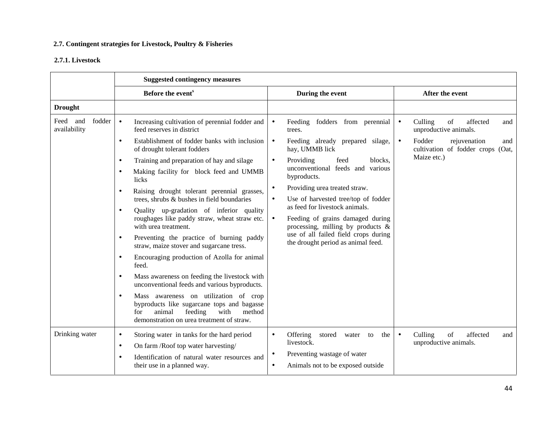## **2.7. Contingent strategies for Livestock, Poultry & Fisheries**

### **2.7.1. Livestock**

|                                       | <b>Suggested contingency measures</b>                                                                                                                                                       |                                                                            |                                                                                 |  |  |
|---------------------------------------|---------------------------------------------------------------------------------------------------------------------------------------------------------------------------------------------|----------------------------------------------------------------------------|---------------------------------------------------------------------------------|--|--|
|                                       | Before the event <sup>s</sup>                                                                                                                                                               | During the event                                                           | After the event                                                                 |  |  |
| <b>Drought</b>                        |                                                                                                                                                                                             |                                                                            |                                                                                 |  |  |
| Feed<br>and<br>fodder<br>availability | $\bullet$<br>Increasing cultivation of perennial fodder and<br>feed reserves in district                                                                                                    | Feeding fodders from perennial<br>$\bullet$<br>trees.                      | Culling<br>of<br>affected<br>$\bullet$<br>and<br>unproductive animals.          |  |  |
|                                       | Establishment of fodder banks with inclusion<br>$\bullet$<br>of drought tolerant fodders                                                                                                    | Feeding already prepared silage,<br>$\bullet$<br>hay, UMMB lick            | Fodder<br>rejuvenation<br>$\bullet$<br>and<br>cultivation of fodder crops (Oat, |  |  |
|                                       | Training and preparation of hay and silage<br>$\bullet$                                                                                                                                     | Providing<br>feed<br>blocks.<br>$\bullet$                                  | Maize etc.)                                                                     |  |  |
|                                       | Making facility for block feed and UMMB<br>$\bullet$<br>licks                                                                                                                               | unconventional feeds and various<br>byproducts.                            |                                                                                 |  |  |
|                                       | Raising drought tolerant perennial grasses,<br>$\bullet$                                                                                                                                    | Providing urea treated straw.<br>$\bullet$                                 |                                                                                 |  |  |
|                                       | trees, shrubs & bushes in field boundaries                                                                                                                                                  | Use of harvested tree/top of fodder<br>$\bullet$                           |                                                                                 |  |  |
|                                       | Quality up-gradation of inferior quality<br>$\bullet$                                                                                                                                       | as feed for livestock animals.<br>Feeding of grains damaged during         |                                                                                 |  |  |
|                                       | roughages like paddy straw, wheat straw etc.<br>with urea treatment.                                                                                                                        | $\bullet$<br>processing, milling by products $\&$                          |                                                                                 |  |  |
|                                       | Preventing the practice of burning paddy<br>$\bullet$<br>straw, maize stover and sugarcane tress.                                                                                           | use of all failed field crops during<br>the drought period as animal feed. |                                                                                 |  |  |
|                                       | Encouraging production of Azolla for animal<br>$\bullet$<br>feed.                                                                                                                           |                                                                            |                                                                                 |  |  |
|                                       | Mass awareness on feeding the livestock with<br>$\bullet$<br>unconventional feeds and various byproducts.                                                                                   |                                                                            |                                                                                 |  |  |
|                                       | Mass awareness on utilization of crop<br>$\bullet$<br>byproducts like sugarcane tops and bagasse<br>feeding<br>with<br>method<br>animal<br>for<br>demonstration on urea treatment of straw. |                                                                            |                                                                                 |  |  |
| Drinking water                        | Storing water in tanks for the hard period<br>$\bullet$                                                                                                                                     | Offering<br>stored<br>water to<br>the<br>$\bullet$                         | Culling<br>of<br>affected<br>$\bullet$<br>and                                   |  |  |
|                                       | On farm /Roof top water harvesting/<br>$\bullet$                                                                                                                                            | livestock.                                                                 | unproductive animals.                                                           |  |  |
|                                       | Identification of natural water resources and<br>$\bullet$                                                                                                                                  | Preventing wastage of water<br>$\bullet$                                   |                                                                                 |  |  |
|                                       | their use in a planned way.                                                                                                                                                                 | Animals not to be exposed outside<br>$\bullet$                             |                                                                                 |  |  |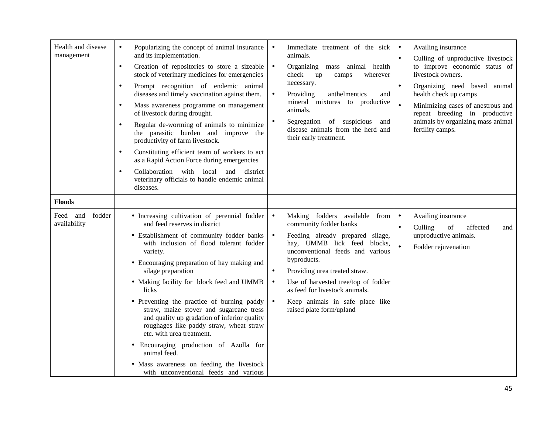| Health and disease<br>management                    | Popularizing the concept of animal insurance<br>$\bullet$<br>and its implementation.<br>Creation of repositories to store a sizeable<br>$\bullet$<br>stock of veterinary medicines for emergencies<br>Prompt recognition of endemic animal<br>$\bullet$<br>diseases and timely vaccination against them.<br>Mass awareness programme on management<br>$\bullet$<br>of livestock during drought.<br>Regular de-worming of animals to minimize<br>$\bullet$<br>the parasitic burden and improve the<br>productivity of farm livestock.<br>Constituting efficient team of workers to act<br>$\bullet$<br>as a Rapid Action Force during emergencies<br>Collaboration with local and district<br>$\bullet$<br>veterinary officials to handle endemic animal<br>diseases. | Immediate treatment of the sick<br>$\bullet$<br>animals.<br>Organizing mass animal health<br>$\bullet$<br>check<br>up<br>camps<br>wherever<br>necessary.<br>Providing<br>anthelmentics<br>$\bullet$<br>and<br>mineral mixtures to productive<br>animals.<br>Segregation of suspicious<br>and<br>disease animals from the herd and<br>their early treatment.                                                                | Availing insurance<br>$\bullet$<br>Culling of unproductive livestock<br>$\bullet$<br>to improve economic status of<br>livestock owners.<br>Organizing need based animal<br>$\bullet$<br>health check up camps<br>Minimizing cases of anestrous and<br>repeat breeding in productive<br>animals by organizing mass animal<br>fertility camps. |
|-----------------------------------------------------|----------------------------------------------------------------------------------------------------------------------------------------------------------------------------------------------------------------------------------------------------------------------------------------------------------------------------------------------------------------------------------------------------------------------------------------------------------------------------------------------------------------------------------------------------------------------------------------------------------------------------------------------------------------------------------------------------------------------------------------------------------------------|----------------------------------------------------------------------------------------------------------------------------------------------------------------------------------------------------------------------------------------------------------------------------------------------------------------------------------------------------------------------------------------------------------------------------|----------------------------------------------------------------------------------------------------------------------------------------------------------------------------------------------------------------------------------------------------------------------------------------------------------------------------------------------|
| <b>Floods</b><br>Feed and<br>fodder<br>availability | • Increasing cultivation of perennial fodder<br>and feed reserves in district<br>• Establishment of community fodder banks<br>with inclusion of flood tolerant fodder<br>variety.<br>• Encouraging preparation of hay making and<br>silage preparation<br>• Making facility for block feed and UMMB<br>licks<br>• Preventing the practice of burning paddy<br>straw, maize stover and sugarcane tress<br>and quality up gradation of inferior quality<br>roughages like paddy straw, wheat straw<br>etc. with urea treatment.<br>Encouraging production of Azolla for<br>$\bullet$<br>animal feed.<br>• Mass awareness on feeding the livestock<br>with unconventional feeds and various                                                                             | Making fodders available from<br>$\bullet$<br>community fodder banks<br>Feeding already prepared silage,<br>$\bullet$<br>hay, UMMB lick feed<br>blocks.<br>unconventional feeds and various<br>byproducts.<br>Providing urea treated straw.<br>$\bullet$<br>Use of harvested tree/top of fodder<br>$\bullet$<br>as feed for livestock animals.<br>Keep animals in safe place like<br>$\bullet$<br>raised plate form/upland | Availing insurance<br>$\bullet$<br>Culling<br>of<br>affected<br>$\bullet$<br>and<br>unproductive animals.<br>Fodder rejuvenation                                                                                                                                                                                                             |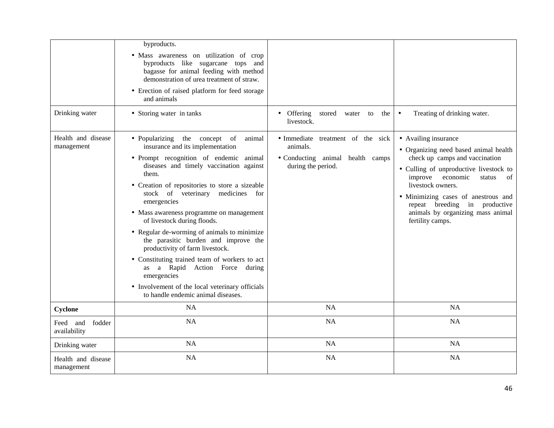| Drinking water                     | byproducts.<br>• Mass awareness on utilization of crop<br>byproducts like sugarcane tops and<br>bagasse for animal feeding with method<br>demonstration of urea treatment of straw.<br>• Erection of raised platform for feed storage<br>and animals<br>• Storing water in tanks                                                                                                                                                                                                                                                                                                                                                                                                | Offering stored water to<br>the<br>livestock.                                                           | Treating of drinking water.<br>$\bullet$                                                                                                                                                                                                                                                                                            |
|------------------------------------|---------------------------------------------------------------------------------------------------------------------------------------------------------------------------------------------------------------------------------------------------------------------------------------------------------------------------------------------------------------------------------------------------------------------------------------------------------------------------------------------------------------------------------------------------------------------------------------------------------------------------------------------------------------------------------|---------------------------------------------------------------------------------------------------------|-------------------------------------------------------------------------------------------------------------------------------------------------------------------------------------------------------------------------------------------------------------------------------------------------------------------------------------|
| Health and disease<br>management   | • Popularizing the concept of<br>animal<br>insurance and its implementation<br>• Prompt recognition of endemic animal<br>diseases and timely vaccination against<br>them.<br>• Creation of repositories to store a sizeable<br>stock of veterinary medicines for<br>emergencies<br>• Mass awareness programme on management<br>of livestock during floods.<br>• Regular de-worming of animals to minimize<br>the parasitic burden and improve the<br>productivity of farm livestock.<br>• Constituting trained team of workers to act<br>as a Rapid Action Force during<br>emergencies<br>• Involvement of the local veterinary officials<br>to handle endemic animal diseases. | · Immediate treatment of the sick<br>animals.<br>• Conducting animal health camps<br>during the period. | • Availing insurance<br>• Organizing need based animal health<br>check up camps and vaccination<br>• Culling of unproductive livestock to<br>improve economic<br>status<br>of<br>livestock owners.<br>• Minimizing cases of anestrous and<br>repeat breeding in productive<br>animals by organizing mass animal<br>fertility camps. |
| Cyclone                            | <b>NA</b>                                                                                                                                                                                                                                                                                                                                                                                                                                                                                                                                                                                                                                                                       | <b>NA</b>                                                                                               | <b>NA</b>                                                                                                                                                                                                                                                                                                                           |
| Feed and<br>fodder<br>availability | <b>NA</b>                                                                                                                                                                                                                                                                                                                                                                                                                                                                                                                                                                                                                                                                       | NA                                                                                                      | <b>NA</b>                                                                                                                                                                                                                                                                                                                           |
| Drinking water                     | <b>NA</b>                                                                                                                                                                                                                                                                                                                                                                                                                                                                                                                                                                                                                                                                       | <b>NA</b>                                                                                               | <b>NA</b>                                                                                                                                                                                                                                                                                                                           |
| Health and disease<br>management   | <b>NA</b>                                                                                                                                                                                                                                                                                                                                                                                                                                                                                                                                                                                                                                                                       | <b>NA</b>                                                                                               | <b>NA</b>                                                                                                                                                                                                                                                                                                                           |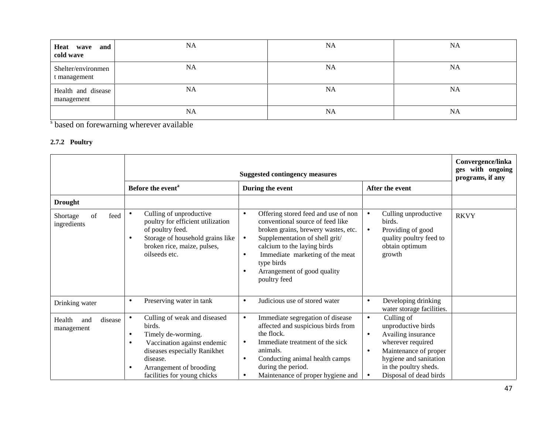| Heat wave and<br>cold wave         | <b>NA</b> | <b>NA</b> | <b>NA</b> |
|------------------------------------|-----------|-----------|-----------|
| Shelter/environmen<br>t management | <b>NA</b> | <b>NA</b> | <b>NA</b> |
| Health and disease<br>management   | <b>NA</b> | NA        | <b>NA</b> |
|                                    | <b>NA</b> | <b>NA</b> | <b>NA</b> |

s based on forewarning wherever available

## **2.7.2 Poultry**

|                                        |                                                                                                                                                                                                                                          | <b>Suggested contingency measures</b>                                                                                                                                                                                                                                                                                  |                                                                                                                                                                                                                          | Convergence/linka<br>ges with ongoing<br>programs, if any |
|----------------------------------------|------------------------------------------------------------------------------------------------------------------------------------------------------------------------------------------------------------------------------------------|------------------------------------------------------------------------------------------------------------------------------------------------------------------------------------------------------------------------------------------------------------------------------------------------------------------------|--------------------------------------------------------------------------------------------------------------------------------------------------------------------------------------------------------------------------|-----------------------------------------------------------|
|                                        | Before the event <sup>a</sup>                                                                                                                                                                                                            | During the event                                                                                                                                                                                                                                                                                                       | After the event                                                                                                                                                                                                          |                                                           |
| <b>Drought</b>                         |                                                                                                                                                                                                                                          |                                                                                                                                                                                                                                                                                                                        |                                                                                                                                                                                                                          |                                                           |
| of<br>feed<br>Shortage<br>ingredients  | Culling of unproductive<br>$\bullet$<br>poultry for efficient utilization<br>of poultry feed.<br>Storage of household grains like<br>٠<br>broken rice, maize, pulses,<br>oilseeds etc.                                                   | Offering stored feed and use of non<br>$\bullet$<br>conventional source of feed like<br>broken grains, brewery wastes, etc.<br>Supplementation of shell grit/<br>$\bullet$<br>calcium to the laying birds<br>Immediate marketing of the meat<br>$\bullet$<br>type birds<br>Arrangement of good quality<br>poultry feed | Culling unproductive<br>birds.<br>Providing of good<br>$\bullet$<br>quality poultry feed to<br>obtain optimum<br>growth                                                                                                  | <b>RKVY</b>                                               |
| Drinking water                         | Preserving water in tank<br>$\bullet$                                                                                                                                                                                                    | Judicious use of stored water<br>$\bullet$                                                                                                                                                                                                                                                                             | Developing drinking<br>$\bullet$<br>water storage facilities.                                                                                                                                                            |                                                           |
| disease<br>Health<br>and<br>management | Culling of weak and diseased<br>$\bullet$<br>birds.<br>Timely de-worming.<br>$\bullet$<br>Vaccination against endemic<br>$\bullet$<br>diseases especially Ranikhet<br>disease.<br>Arrangement of brooding<br>facilities for young chicks | Immediate segregation of disease<br>$\bullet$<br>affected and suspicious birds from<br>the flock.<br>Immediate treatment of the sick<br>$\bullet$<br>animals.<br>Conducting animal health camps<br>$\bullet$<br>during the period.<br>Maintenance of proper hygiene and<br>$\bullet$                                   | Culling of<br>$\bullet$<br>unproductive birds<br>Availing insurance<br>$\bullet$<br>wherever required<br>Maintenance of proper<br>$\bullet$<br>hygiene and sanitation<br>in the poultry sheds.<br>Disposal of dead birds |                                                           |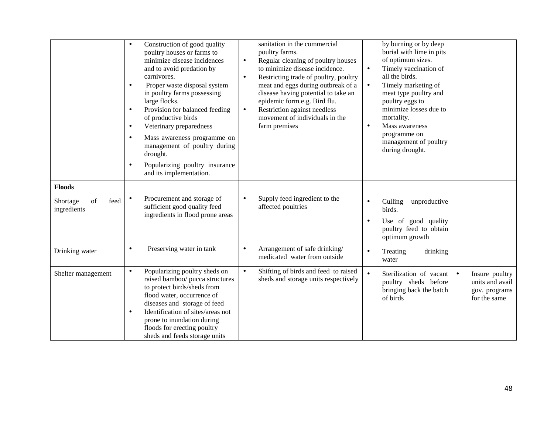|                                       | Construction of good quality<br>$\bullet$<br>poultry houses or farms to<br>minimize disease incidences<br>and to avoid predation by<br>carnivores.<br>Proper waste disposal system<br>$\bullet$<br>in poultry farms possessing<br>large flocks.<br>Provision for balanced feeding<br>$\bullet$<br>of productive birds<br>Veterinary preparedness<br>$\bullet$<br>Mass awareness programme on<br>$\bullet$<br>management of poultry during<br>drought.<br>Popularizing poultry insurance<br>$\bullet$<br>and its implementation. | sanitation in the commercial<br>poultry farms.<br>Regular cleaning of poultry houses<br>$\bullet$<br>to minimize disease incidence.<br>Restricting trade of poultry, poultry<br>$\bullet$<br>meat and eggs during outbreak of a<br>disease having potential to take an<br>epidemic form.e.g. Bird flu.<br>Restriction against needless<br>$\bullet$<br>movement of individuals in the<br>farm premises | by burning or by deep<br>burial with lime in pits<br>of optimum sizes.<br>Timely vaccination of<br>$\bullet$<br>all the birds.<br>Timely marketing of<br>$\bullet$<br>meat type poultry and<br>poultry eggs to<br>minimize losses due to<br>mortality.<br>Mass awareness<br>$\bullet$<br>programme on<br>management of poultry<br>during drought. |
|---------------------------------------|---------------------------------------------------------------------------------------------------------------------------------------------------------------------------------------------------------------------------------------------------------------------------------------------------------------------------------------------------------------------------------------------------------------------------------------------------------------------------------------------------------------------------------|--------------------------------------------------------------------------------------------------------------------------------------------------------------------------------------------------------------------------------------------------------------------------------------------------------------------------------------------------------------------------------------------------------|---------------------------------------------------------------------------------------------------------------------------------------------------------------------------------------------------------------------------------------------------------------------------------------------------------------------------------------------------|
| <b>Floods</b>                         |                                                                                                                                                                                                                                                                                                                                                                                                                                                                                                                                 |                                                                                                                                                                                                                                                                                                                                                                                                        |                                                                                                                                                                                                                                                                                                                                                   |
| Shortage<br>of<br>feed<br>ingredients | Procurement and storage of<br>$\bullet$<br>sufficient good quality feed<br>ingredients in flood prone areas                                                                                                                                                                                                                                                                                                                                                                                                                     | Supply feed ingredient to the<br>$\bullet$<br>affected poultries                                                                                                                                                                                                                                                                                                                                       | unproductive<br>Culling<br>$\bullet$<br>birds.<br>Use of good quality<br>poultry feed to obtain<br>optimum growth                                                                                                                                                                                                                                 |
| Drinking water                        | Preserving water in tank<br>$\bullet$                                                                                                                                                                                                                                                                                                                                                                                                                                                                                           | Arrangement of safe drinking/<br>$\bullet$<br>medicated water from outside                                                                                                                                                                                                                                                                                                                             | Treating<br>drinking<br>water                                                                                                                                                                                                                                                                                                                     |
| Shelter management                    | Popularizing poultry sheds on<br>$\bullet$<br>raised bamboo/ pucca structures<br>to protect birds/sheds from<br>flood water, occurrence of<br>diseases and storage of feed<br>Identification of sites/areas not<br>$\bullet$<br>prone to inundation during<br>floods for erecting poultry<br>sheds and feeds storage units                                                                                                                                                                                                      | Shifting of birds and feed to raised<br>$\bullet$<br>sheds and storage units respectively                                                                                                                                                                                                                                                                                                              | Sterilization of vacant<br>Insure poultry<br>$\bullet$<br>units and avail<br>poultry sheds before<br>bringing back the batch<br>gov. programs<br>of birds<br>for the same                                                                                                                                                                         |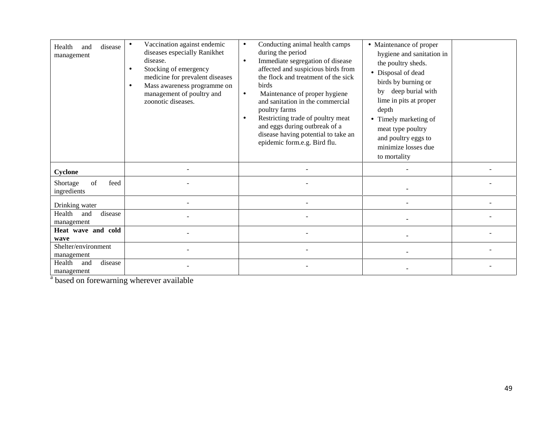| disease<br>Health<br>and<br>management | Vaccination against endemic<br>diseases especially Ranikhet<br>disease.<br>Stocking of emergency<br>medicine for prevalent diseases<br>Mass awareness programme on<br>management of poultry and<br>zoonotic diseases. | Conducting animal health camps<br>$\bullet$<br>during the period<br>Immediate segregation of disease<br>$\bullet$<br>affected and suspicious birds from<br>the flock and treatment of the sick<br><b>birds</b><br>Maintenance of proper hygiene<br>$\bullet$<br>and sanitation in the commercial<br>poultry farms<br>Restricting trade of poultry meat<br>$\bullet$<br>and eggs during outbreak of a<br>disease having potential to take an<br>epidemic form.e.g. Bird flu. | • Maintenance of proper<br>hygiene and sanitation in<br>the poultry sheds.<br>• Disposal of dead<br>birds by burning or<br>by deep burial with<br>lime in pits at proper<br>depth<br>Timely marketing of<br>meat type poultry<br>and poultry eggs to<br>minimize losses due<br>to mortality |  |
|----------------------------------------|-----------------------------------------------------------------------------------------------------------------------------------------------------------------------------------------------------------------------|-----------------------------------------------------------------------------------------------------------------------------------------------------------------------------------------------------------------------------------------------------------------------------------------------------------------------------------------------------------------------------------------------------------------------------------------------------------------------------|---------------------------------------------------------------------------------------------------------------------------------------------------------------------------------------------------------------------------------------------------------------------------------------------|--|
| Cyclone                                |                                                                                                                                                                                                                       |                                                                                                                                                                                                                                                                                                                                                                                                                                                                             |                                                                                                                                                                                                                                                                                             |  |
| of<br>feed<br>Shortage<br>ingredients  |                                                                                                                                                                                                                       |                                                                                                                                                                                                                                                                                                                                                                                                                                                                             |                                                                                                                                                                                                                                                                                             |  |
| Drinking water                         |                                                                                                                                                                                                                       |                                                                                                                                                                                                                                                                                                                                                                                                                                                                             |                                                                                                                                                                                                                                                                                             |  |
| Health<br>disease<br>and<br>management |                                                                                                                                                                                                                       |                                                                                                                                                                                                                                                                                                                                                                                                                                                                             |                                                                                                                                                                                                                                                                                             |  |
| Heat wave and cold<br>wave             |                                                                                                                                                                                                                       |                                                                                                                                                                                                                                                                                                                                                                                                                                                                             |                                                                                                                                                                                                                                                                                             |  |
| Shelter/environment<br>management      |                                                                                                                                                                                                                       |                                                                                                                                                                                                                                                                                                                                                                                                                                                                             |                                                                                                                                                                                                                                                                                             |  |
| disease<br>Health<br>and<br>management |                                                                                                                                                                                                                       |                                                                                                                                                                                                                                                                                                                                                                                                                                                                             |                                                                                                                                                                                                                                                                                             |  |

 $\frac{a}{a}$  based on forewarning wherever available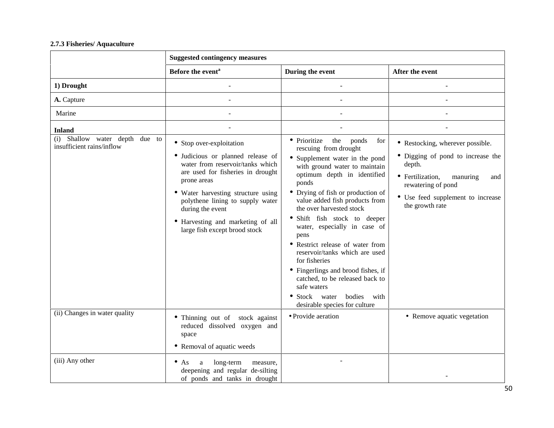## **2.7.3 Fisheries/ Aquaculture**

|                                                             | <b>Suggested contingency measures</b>                                                                                                                                                                                                                                                                                     |                                                                                                                                                                                                                                                                                                                                                                                                                                                                                                                                                                 |                                                                                                                                                                                                      |
|-------------------------------------------------------------|---------------------------------------------------------------------------------------------------------------------------------------------------------------------------------------------------------------------------------------------------------------------------------------------------------------------------|-----------------------------------------------------------------------------------------------------------------------------------------------------------------------------------------------------------------------------------------------------------------------------------------------------------------------------------------------------------------------------------------------------------------------------------------------------------------------------------------------------------------------------------------------------------------|------------------------------------------------------------------------------------------------------------------------------------------------------------------------------------------------------|
|                                                             | Before the event <sup>a</sup>                                                                                                                                                                                                                                                                                             | During the event                                                                                                                                                                                                                                                                                                                                                                                                                                                                                                                                                | After the event                                                                                                                                                                                      |
| 1) Drought                                                  |                                                                                                                                                                                                                                                                                                                           |                                                                                                                                                                                                                                                                                                                                                                                                                                                                                                                                                                 |                                                                                                                                                                                                      |
| A. Capture                                                  |                                                                                                                                                                                                                                                                                                                           |                                                                                                                                                                                                                                                                                                                                                                                                                                                                                                                                                                 |                                                                                                                                                                                                      |
| Marine                                                      |                                                                                                                                                                                                                                                                                                                           |                                                                                                                                                                                                                                                                                                                                                                                                                                                                                                                                                                 |                                                                                                                                                                                                      |
| <b>Inland</b>                                               |                                                                                                                                                                                                                                                                                                                           |                                                                                                                                                                                                                                                                                                                                                                                                                                                                                                                                                                 |                                                                                                                                                                                                      |
| (i) Shallow water depth due to<br>insufficient rains/inflow | • Stop over-exploitation<br>· Judicious or planned release of<br>water from reservoir/tanks which<br>are used for fisheries in drought<br>prone areas<br>• Water harvesting structure using<br>polythene lining to supply water<br>during the event<br>• Harvesting and marketing of all<br>large fish except brood stock | • Prioritize<br>the<br>ponds<br>for<br>rescuing from drought<br>• Supplement water in the pond<br>with ground water to maintain<br>optimum depth in identified<br>ponds<br>• Drying of fish or production of<br>value added fish products from<br>the over harvested stock<br>Shift fish stock to deeper<br>water, especially in case of<br>pens<br>• Restrict release of water from<br>reservoir/tanks which are used<br>for fisheries<br>• Fingerlings and brood fishes, if<br>catched, to be released back to<br>safe waters<br>• Stock water bodies<br>with | • Restocking, wherever possible.<br>• Digging of pond to increase the<br>depth.<br>• Fertilization,<br>manuring<br>and<br>rewatering of pond<br>• Use feed supplement to increase<br>the growth rate |
| (ii) Changes in water quality                               | • Thinning out of stock against<br>reduced dissolved oxygen and<br>space                                                                                                                                                                                                                                                  | desirable species for culture<br>• Provide aeration                                                                                                                                                                                                                                                                                                                                                                                                                                                                                                             | • Remove aquatic vegetation                                                                                                                                                                          |
|                                                             | • Removal of aquatic weeds                                                                                                                                                                                                                                                                                                |                                                                                                                                                                                                                                                                                                                                                                                                                                                                                                                                                                 |                                                                                                                                                                                                      |
| (iii) Any other                                             | long-term<br>$\bullet$ As<br>a<br>measure,<br>deepening and regular de-silting<br>of ponds and tanks in drought                                                                                                                                                                                                           |                                                                                                                                                                                                                                                                                                                                                                                                                                                                                                                                                                 |                                                                                                                                                                                                      |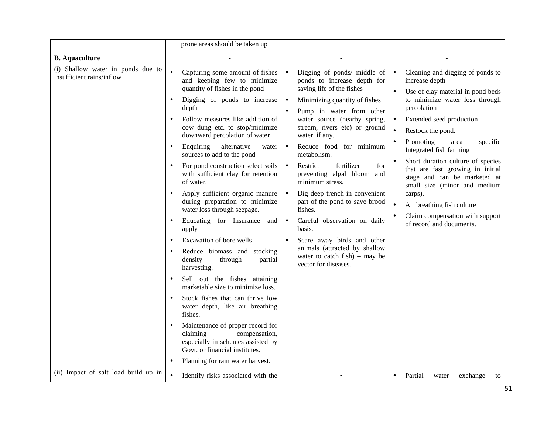|                                                                                                        | prone areas should be taken up                                                                                                                                                                                                                                                                                                                                                                                                                                                                                                                                                                                                                                                                                                                                                                                                                                                                                                                                                                                                                                                                                               |                                                                                                                                                                                                                                                                                                                                                                                                                                                                                                                                                                                                                                                                                         |                                                                                                                                                                                                                                                                                                                                                                                                                                                                                                                                                            |
|--------------------------------------------------------------------------------------------------------|------------------------------------------------------------------------------------------------------------------------------------------------------------------------------------------------------------------------------------------------------------------------------------------------------------------------------------------------------------------------------------------------------------------------------------------------------------------------------------------------------------------------------------------------------------------------------------------------------------------------------------------------------------------------------------------------------------------------------------------------------------------------------------------------------------------------------------------------------------------------------------------------------------------------------------------------------------------------------------------------------------------------------------------------------------------------------------------------------------------------------|-----------------------------------------------------------------------------------------------------------------------------------------------------------------------------------------------------------------------------------------------------------------------------------------------------------------------------------------------------------------------------------------------------------------------------------------------------------------------------------------------------------------------------------------------------------------------------------------------------------------------------------------------------------------------------------------|------------------------------------------------------------------------------------------------------------------------------------------------------------------------------------------------------------------------------------------------------------------------------------------------------------------------------------------------------------------------------------------------------------------------------------------------------------------------------------------------------------------------------------------------------------|
| <b>B.</b> Aquaculture                                                                                  |                                                                                                                                                                                                                                                                                                                                                                                                                                                                                                                                                                                                                                                                                                                                                                                                                                                                                                                                                                                                                                                                                                                              |                                                                                                                                                                                                                                                                                                                                                                                                                                                                                                                                                                                                                                                                                         |                                                                                                                                                                                                                                                                                                                                                                                                                                                                                                                                                            |
| (i) Shallow water in ponds due to<br>insufficient rains/inflow<br>(ii) Impact of salt load build up in | $\bullet$<br>Capturing some amount of fishes<br>and keeping few to minimize<br>quantity of fishes in the pond<br>Digging of ponds to increase<br>$\bullet$<br>depth<br>Follow measures like addition of<br>cow dung etc. to stop/minimize<br>downward percolation of water<br>alternative<br>Enquiring<br>water<br>$\bullet$<br>sources to add to the pond<br>For pond construction select soils<br>with sufficient clay for retention<br>of water.<br>Apply sufficient organic manure<br>$\bullet$<br>during preparation to minimize<br>water loss through seepage.<br>Educating for Insurance and<br>$\bullet$<br>apply<br>Excavation of bore wells<br>$\bullet$<br>Reduce biomass and stocking<br>$\bullet$<br>density<br>through<br>partial<br>harvesting.<br>Sell out the fishes attaining<br>$\bullet$<br>marketable size to minimize loss.<br>Stock fishes that can thrive low<br>water depth, like air breathing<br>fishes.<br>Maintenance of proper record for<br>claiming<br>compensation,<br>especially in schemes assisted by<br>Govt. or financial institutes.<br>Planning for rain water harvest.<br>$\bullet$ | Digging of ponds/ middle of<br>$\bullet$<br>ponds to increase depth for<br>saving life of the fishes<br>Minimizing quantity of fishes<br>$\bullet$<br>Pump in water from other<br>water source (nearby spring,<br>stream, rivers etc) or ground<br>water, if any.<br>Reduce food for minimum<br>$\bullet$<br>metabolism.<br>Restrict<br>fertilizer<br>for<br>$\bullet$<br>preventing algal bloom and<br>minimum stress.<br>Dig deep trench in convenient<br>part of the pond to save brood<br>fishes.<br>Careful observation on daily<br>$\bullet$<br>basis.<br>Scare away birds and other<br>animals (attracted by shallow<br>water to catch $fish$ ) – may be<br>vector for diseases. | Cleaning and digging of ponds to<br>$\bullet$<br>increase depth<br>Use of clay material in pond beds<br>to minimize water loss through<br>percolation<br>Extended seed production<br>Restock the pond.<br>$\bullet$<br>Promoting<br>specific<br>area<br>$\bullet$<br>Integrated fish farming<br>Short duration culture of species<br>that are fast growing in initial<br>stage and can be marketed at<br>small size (minor and medium<br>carps).<br>Air breathing fish culture<br>$\bullet$<br>Claim compensation with support<br>of record and documents. |
|                                                                                                        | Identify risks associated with the                                                                                                                                                                                                                                                                                                                                                                                                                                                                                                                                                                                                                                                                                                                                                                                                                                                                                                                                                                                                                                                                                           |                                                                                                                                                                                                                                                                                                                                                                                                                                                                                                                                                                                                                                                                                         | Partial<br>exchange<br>water<br>$\bullet$<br>to                                                                                                                                                                                                                                                                                                                                                                                                                                                                                                            |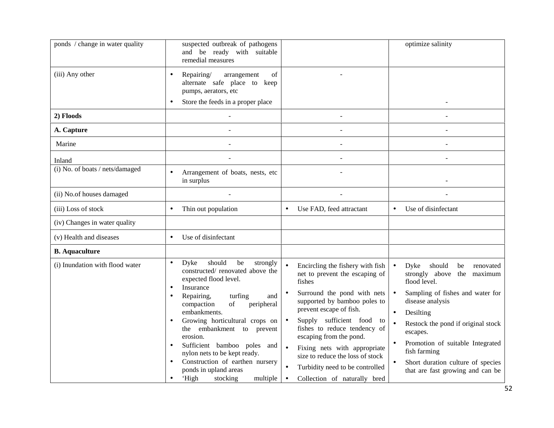| ponds / change in water quality | suspected outbreak of pathogens<br>and be ready with suitable<br>remedial measures                                                                                                                                                                                                                                                                                                                                                                                                                               |                                                                                                                                                                                                                                                                                                                                                                                                                                 | optimize salinity                                                                                                                                                                                                                                                                                                                                                                                 |
|---------------------------------|------------------------------------------------------------------------------------------------------------------------------------------------------------------------------------------------------------------------------------------------------------------------------------------------------------------------------------------------------------------------------------------------------------------------------------------------------------------------------------------------------------------|---------------------------------------------------------------------------------------------------------------------------------------------------------------------------------------------------------------------------------------------------------------------------------------------------------------------------------------------------------------------------------------------------------------------------------|---------------------------------------------------------------------------------------------------------------------------------------------------------------------------------------------------------------------------------------------------------------------------------------------------------------------------------------------------------------------------------------------------|
| (iii) Any other                 | Repairing/<br>arrangement<br>of<br>$\bullet$<br>alternate safe place to keep<br>pumps, aerators, etc<br>Store the feeds in a proper place                                                                                                                                                                                                                                                                                                                                                                        |                                                                                                                                                                                                                                                                                                                                                                                                                                 |                                                                                                                                                                                                                                                                                                                                                                                                   |
| 2) Floods                       |                                                                                                                                                                                                                                                                                                                                                                                                                                                                                                                  |                                                                                                                                                                                                                                                                                                                                                                                                                                 |                                                                                                                                                                                                                                                                                                                                                                                                   |
| A. Capture                      |                                                                                                                                                                                                                                                                                                                                                                                                                                                                                                                  |                                                                                                                                                                                                                                                                                                                                                                                                                                 |                                                                                                                                                                                                                                                                                                                                                                                                   |
| Marine                          |                                                                                                                                                                                                                                                                                                                                                                                                                                                                                                                  |                                                                                                                                                                                                                                                                                                                                                                                                                                 |                                                                                                                                                                                                                                                                                                                                                                                                   |
| Inland                          |                                                                                                                                                                                                                                                                                                                                                                                                                                                                                                                  |                                                                                                                                                                                                                                                                                                                                                                                                                                 |                                                                                                                                                                                                                                                                                                                                                                                                   |
| (i) No. of boats / nets/damaged | Arrangement of boats, nests, etc<br>$\bullet$<br>in surplus                                                                                                                                                                                                                                                                                                                                                                                                                                                      |                                                                                                                                                                                                                                                                                                                                                                                                                                 |                                                                                                                                                                                                                                                                                                                                                                                                   |
| (ii) No.of houses damaged       |                                                                                                                                                                                                                                                                                                                                                                                                                                                                                                                  |                                                                                                                                                                                                                                                                                                                                                                                                                                 |                                                                                                                                                                                                                                                                                                                                                                                                   |
| (iii) Loss of stock             | Thin out population<br>$\bullet$                                                                                                                                                                                                                                                                                                                                                                                                                                                                                 | Use FAD, feed attractant<br>$\bullet$                                                                                                                                                                                                                                                                                                                                                                                           | Use of disinfectant<br>$\bullet$                                                                                                                                                                                                                                                                                                                                                                  |
| (iv) Changes in water quality   |                                                                                                                                                                                                                                                                                                                                                                                                                                                                                                                  |                                                                                                                                                                                                                                                                                                                                                                                                                                 |                                                                                                                                                                                                                                                                                                                                                                                                   |
| (v) Health and diseases         | Use of disinfectant<br>$\bullet$                                                                                                                                                                                                                                                                                                                                                                                                                                                                                 |                                                                                                                                                                                                                                                                                                                                                                                                                                 |                                                                                                                                                                                                                                                                                                                                                                                                   |
| <b>B.</b> Aquaculture           |                                                                                                                                                                                                                                                                                                                                                                                                                                                                                                                  |                                                                                                                                                                                                                                                                                                                                                                                                                                 |                                                                                                                                                                                                                                                                                                                                                                                                   |
| (i) Inundation with flood water | should<br>Dyke<br>be<br>strongly<br>$\bullet$<br>constructed/renovated above the<br>expected flood level.<br>Insurance<br>$\bullet$<br>Repairing,<br>turfing<br>and<br>$\bullet$<br>compaction<br>of<br>peripheral<br>embankments.<br>Growing horticultural crops on<br>the embankment to prevent<br>erosion.<br>Sufficient bamboo poles and<br>$\bullet$<br>nylon nets to be kept ready.<br>Construction of earthen nursery<br>$\bullet$<br>ponds in upland areas<br>'High<br>stocking<br>multiple<br>$\bullet$ | Encircling the fishery with fish<br>net to prevent the escaping of<br>fishes<br>Surround the pond with nets<br>supported by bamboo poles to<br>prevent escape of fish.<br>Supply sufficient food to<br>$\bullet$<br>fishes to reduce tendency of<br>escaping from the pond.<br>Fixing nets with appropriate<br>size to reduce the loss of stock<br>Turbidity need to be controlled<br>Collection of naturally bred<br>$\bullet$ | Dyke should<br>$\bullet$<br>be<br>renovated<br>strongly above the maximum<br>flood level.<br>Sampling of fishes and water for<br>$\bullet$<br>disease analysis<br>Desilting<br>$\bullet$<br>Restock the pond if original stock<br>$\bullet$<br>escapes.<br>Promotion of suitable Integrated<br>fish farming<br>Short duration culture of species<br>$\bullet$<br>that are fast growing and can be |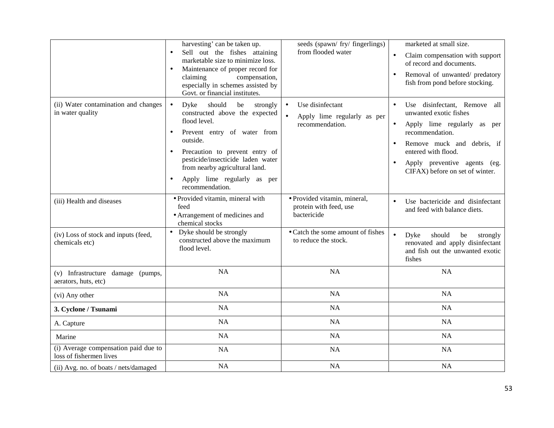|                                                                 | harvesting' can be taken up.<br>Sell out the fishes attaining<br>marketable size to minimize loss.<br>Maintenance of proper record for<br>claiming<br>compensation,<br>especially in schemes assisted by<br>Govt. or financial institutes.                                                            | seeds (spawn/ fry/ fingerlings)<br>from flooded water                                        | marketed at small size.<br>Claim compensation with support<br>$\bullet$<br>of record and documents.<br>Removal of unwanted/ predatory<br>$\bullet$<br>fish from pond before stocking.                                                                                   |
|-----------------------------------------------------------------|-------------------------------------------------------------------------------------------------------------------------------------------------------------------------------------------------------------------------------------------------------------------------------------------------------|----------------------------------------------------------------------------------------------|-------------------------------------------------------------------------------------------------------------------------------------------------------------------------------------------------------------------------------------------------------------------------|
| (ii) Water contamination and changes<br>in water quality        | Dyke<br>should<br>strongly<br>$\bullet$<br>be<br>constructed above the expected<br>flood level.<br>Prevent entry of water from<br>outside.<br>Precaution to prevent entry of<br>pesticide/insecticide laden water<br>from nearby agricultural land.<br>Apply lime regularly as per<br>recommendation. | Use disinfectant<br>$\bullet$<br>$\bullet$<br>Apply lime regularly as per<br>recommendation. | Use disinfectant, Remove all<br>unwanted exotic fishes<br>Apply lime regularly as per<br>$\bullet$<br>recommendation.<br>Remove muck and debris, if<br>$\bullet$<br>entered with flood.<br>Apply preventive agents (eg.<br>$\bullet$<br>CIFAX) before on set of winter. |
| (iii) Health and diseases                                       | · Provided vitamin, mineral with<br>feed<br>• Arrangement of medicines and<br>chemical stocks                                                                                                                                                                                                         | · Provided vitamin, mineral,<br>protein with feed, use<br>bactericide                        | Use bactericide and disinfectant<br>$\bullet$<br>and feed with balance diets.                                                                                                                                                                                           |
| (iv) Loss of stock and inputs (feed,<br>chemicals etc)          | Dyke should be strongly<br>$\bullet$<br>constructed above the maximum<br>flood level.                                                                                                                                                                                                                 | • Catch the some amount of fishes<br>to reduce the stock.                                    | $\bullet$<br>Dyke<br>should<br>be<br>strongly<br>renovated and apply disinfectant<br>and fish out the unwanted exotic<br>fishes                                                                                                                                         |
| (v) Infrastructure damage (pumps,<br>aerators, huts, etc)       | <b>NA</b>                                                                                                                                                                                                                                                                                             | <b>NA</b>                                                                                    | <b>NA</b>                                                                                                                                                                                                                                                               |
| (vi) Any other                                                  | <b>NA</b>                                                                                                                                                                                                                                                                                             | NA                                                                                           | <b>NA</b>                                                                                                                                                                                                                                                               |
| 3. Cyclone / Tsunami                                            | <b>NA</b>                                                                                                                                                                                                                                                                                             | <b>NA</b>                                                                                    | <b>NA</b>                                                                                                                                                                                                                                                               |
| A. Capture                                                      | NA                                                                                                                                                                                                                                                                                                    | <b>NA</b>                                                                                    | <b>NA</b>                                                                                                                                                                                                                                                               |
| Marine                                                          | NA                                                                                                                                                                                                                                                                                                    | <b>NA</b>                                                                                    | <b>NA</b>                                                                                                                                                                                                                                                               |
| (i) Average compensation paid due to<br>loss of fishermen lives | NA                                                                                                                                                                                                                                                                                                    | <b>NA</b>                                                                                    | <b>NA</b>                                                                                                                                                                                                                                                               |
| (ii) Avg. no. of boats / nets/damaged                           | NA                                                                                                                                                                                                                                                                                                    | <b>NA</b>                                                                                    | NA                                                                                                                                                                                                                                                                      |